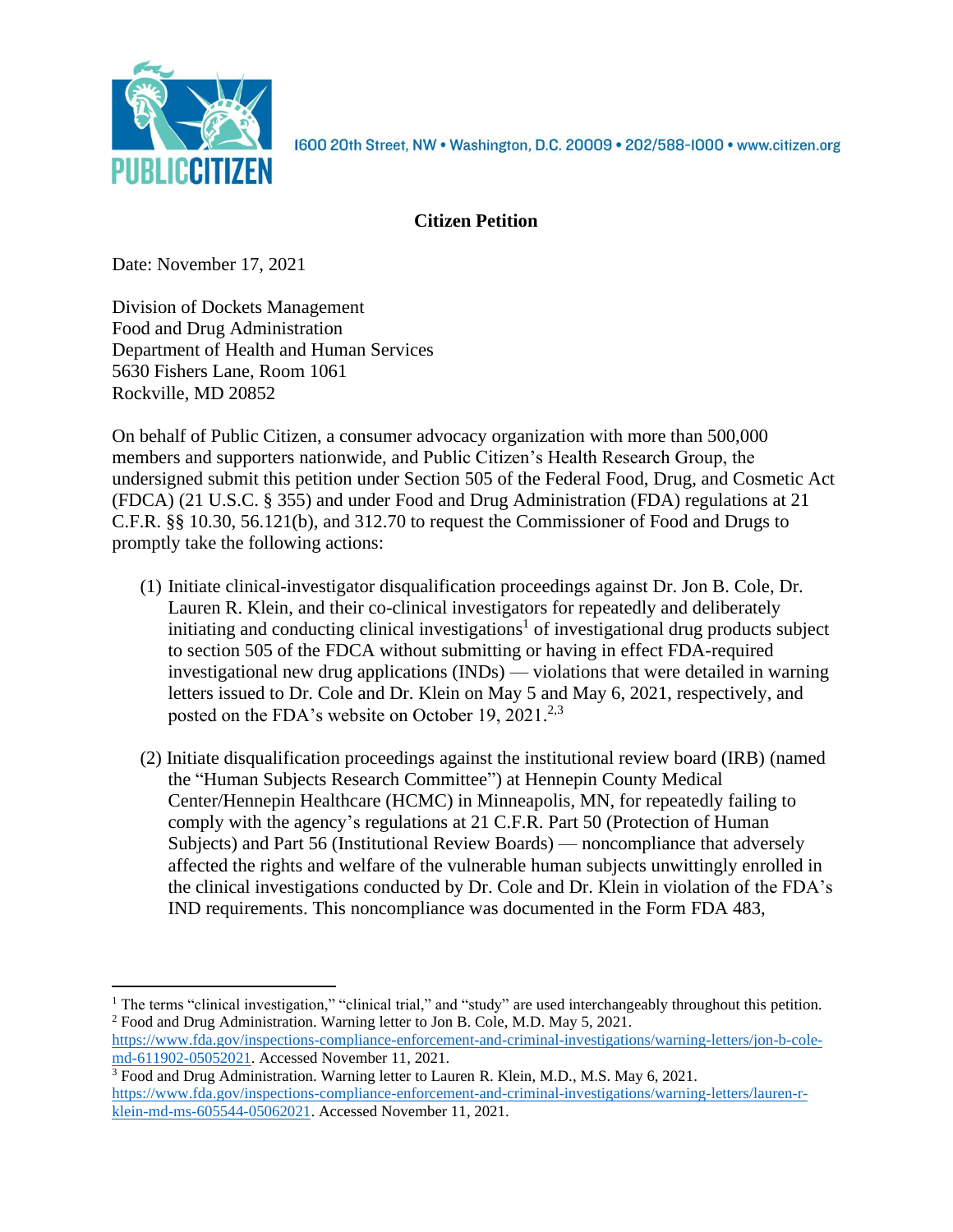

1600 20th Street, NW . Washington, D.C. 20009 . 202/588-1000 . www.citizen.org

# **Citizen Petition**

Date: November 17, 2021

Division of Dockets Management Food and Drug Administration Department of Health and Human Services 5630 Fishers Lane, Room 1061 Rockville, MD 20852

On behalf of Public Citizen, a consumer advocacy organization with more than 500,000 members and supporters nationwide, and Public Citizen's Health Research Group, the undersigned submit this petition under Section 505 of the Federal Food, Drug, and Cosmetic Act (FDCA) (21 U.S.C. § 355) and under Food and Drug Administration (FDA) regulations at 21 C.F.R. §§ 10.30, 56.121(b), and 312.70 to request the Commissioner of Food and Drugs to promptly take the following actions:

- (1) Initiate clinical-investigator disqualification proceedings against Dr. Jon B. Cole, Dr. Lauren R. Klein, and their co-clinical investigators for repeatedly and deliberately initiating and conducting clinical investigations<sup>1</sup> of investigational drug products subject to section 505 of the FDCA without submitting or having in effect FDA-required investigational new drug applications (INDs) — violations that were detailed in warning letters issued to Dr. Cole and Dr. Klein on May 5 and May 6, 2021, respectively, and posted on the FDA's website on October 19, 2021.<sup>2,3</sup>
- (2) Initiate disqualification proceedings against the institutional review board (IRB) (named the "Human Subjects Research Committee") at Hennepin County Medical Center/Hennepin Healthcare (HCMC) in Minneapolis, MN, for repeatedly failing to comply with the agency's regulations at 21 C.F.R. Part 50 (Protection of Human Subjects) and Part 56 (Institutional Review Boards) — noncompliance that adversely affected the rights and welfare of the vulnerable human subjects unwittingly enrolled in the clinical investigations conducted by Dr. Cole and Dr. Klein in violation of the FDA's IND requirements. This noncompliance was documented in the Form FDA 483,

<sup>&</sup>lt;sup>1</sup> The terms "clinical investigation," "clinical trial," and "study" are used interchangeably throughout this petition. <sup>2</sup> Food and Drug Administration. Warning letter to Jon B. Cole, M.D. May 5, 2021.

[https://www.fda.gov/inspections-compliance-enforcement-and-criminal-investigations/warning-letters/jon-b-cole](https://www.fda.gov/inspections-compliance-enforcement-and-criminal-investigations/warning-letters/jon-b-cole-md-611902-05052021)[md-611902-05052021.](https://www.fda.gov/inspections-compliance-enforcement-and-criminal-investigations/warning-letters/jon-b-cole-md-611902-05052021) Accessed November 11, 2021.

<sup>&</sup>lt;sup>3</sup> Food and Drug Administration. Warning letter to Lauren R. Klein, M.D., M.S. May 6, 2021. [https://www.fda.gov/inspections-compliance-enforcement-and-criminal-investigations/warning-letters/lauren-r](https://www.fda.gov/inspections-compliance-enforcement-and-criminal-investigations/warning-letters/lauren-r-klein-md-ms-605544-05062021)[klein-md-ms-605544-05062021.](https://www.fda.gov/inspections-compliance-enforcement-and-criminal-investigations/warning-letters/lauren-r-klein-md-ms-605544-05062021) Accessed November 11, 2021.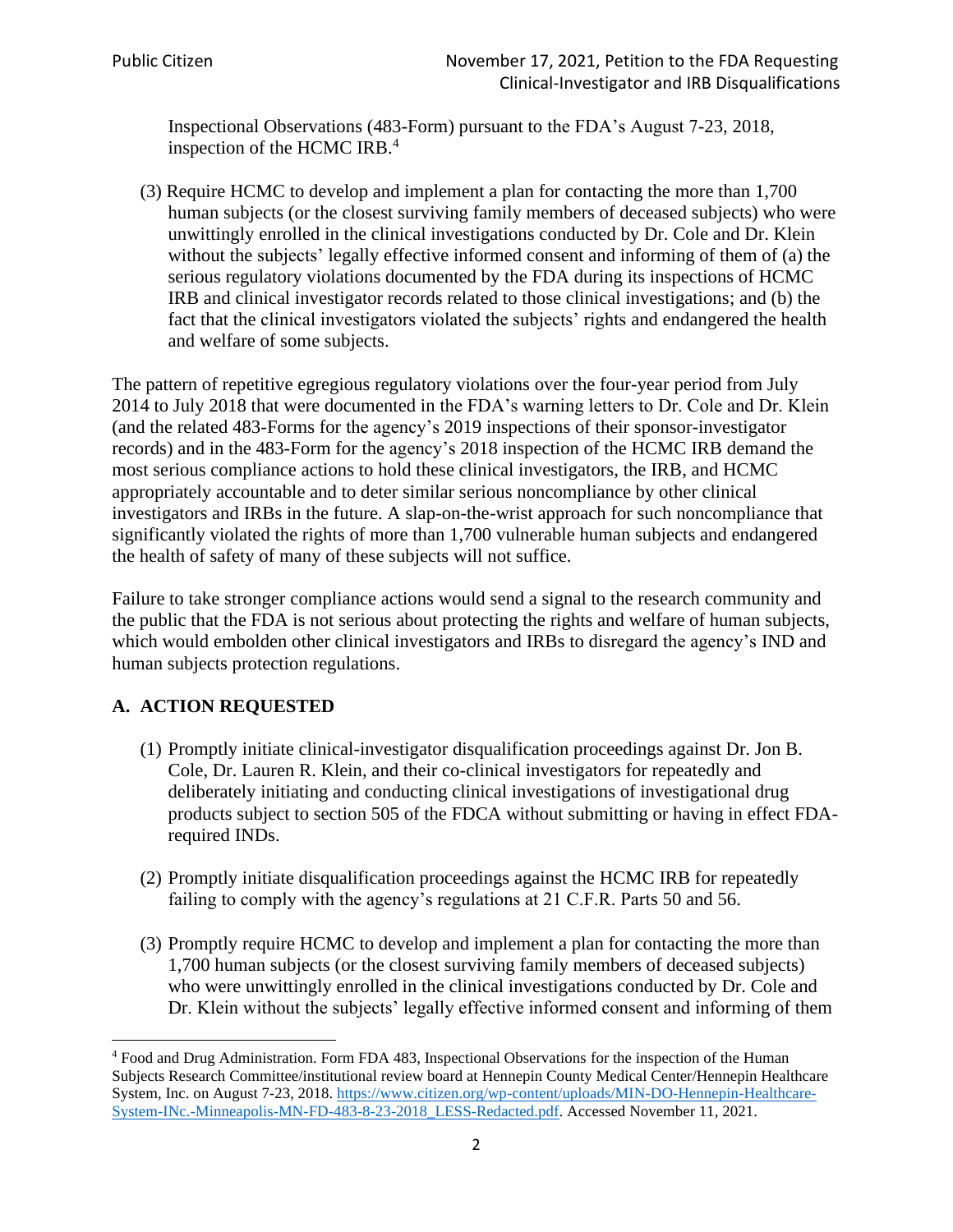Inspectional Observations (483-Form) pursuant to the FDA's August 7-23, 2018, inspection of the HCMC IRB. 4

(3) Require HCMC to develop and implement a plan for contacting the more than 1,700 human subjects (or the closest surviving family members of deceased subjects) who were unwittingly enrolled in the clinical investigations conducted by Dr. Cole and Dr. Klein without the subjects' legally effective informed consent and informing of them of (a) the serious regulatory violations documented by the FDA during its inspections of HCMC IRB and clinical investigator records related to those clinical investigations; and (b) the fact that the clinical investigators violated the subjects' rights and endangered the health and welfare of some subjects.

The pattern of repetitive egregious regulatory violations over the four-year period from July 2014 to July 2018 that were documented in the FDA's warning letters to Dr. Cole and Dr. Klein (and the related 483-Forms for the agency's 2019 inspections of their sponsor-investigator records) and in the 483-Form for the agency's 2018 inspection of the HCMC IRB demand the most serious compliance actions to hold these clinical investigators, the IRB, and HCMC appropriately accountable and to deter similar serious noncompliance by other clinical investigators and IRBs in the future. A slap-on-the-wrist approach for such noncompliance that significantly violated the rights of more than 1,700 vulnerable human subjects and endangered the health of safety of many of these subjects will not suffice.

Failure to take stronger compliance actions would send a signal to the research community and the public that the FDA is not serious about protecting the rights and welfare of human subjects, which would embolden other clinical investigators and IRBs to disregard the agency's IND and human subjects protection regulations.

## **A. ACTION REQUESTED**

- (1) Promptly initiate clinical-investigator disqualification proceedings against Dr. Jon B. Cole, Dr. Lauren R. Klein, and their co-clinical investigators for repeatedly and deliberately initiating and conducting clinical investigations of investigational drug products subject to section 505 of the FDCA without submitting or having in effect FDArequired INDs.
- (2) Promptly initiate disqualification proceedings against the HCMC IRB for repeatedly failing to comply with the agency's regulations at 21 C.F.R. Parts 50 and 56.
- (3) Promptly require HCMC to develop and implement a plan for contacting the more than 1,700 human subjects (or the closest surviving family members of deceased subjects) who were unwittingly enrolled in the clinical investigations conducted by Dr. Cole and Dr. Klein without the subjects' legally effective informed consent and informing of them

<sup>4</sup> Food and Drug Administration. Form FDA 483, Inspectional Observations for the inspection of the Human Subjects Research Committee/institutional review board at Hennepin County Medical Center/Hennepin Healthcare System, Inc. on August 7-23, 2018. [https://www.citizen.org/wp-content/uploads/MIN-DO-Hennepin-Healthcare-](https://www.citizen.org/wp-content/uploads/MIN-DO-Hennepin-Healthcare-System-INc.-Minneapolis-MN-FD-483-8-23-2018_LESS-Redacted.pdf)[System-INc.-Minneapolis-MN-FD-483-8-23-2018\\_LESS-Redacted.pdf.](https://www.citizen.org/wp-content/uploads/MIN-DO-Hennepin-Healthcare-System-INc.-Minneapolis-MN-FD-483-8-23-2018_LESS-Redacted.pdf) Accessed November 11, 2021.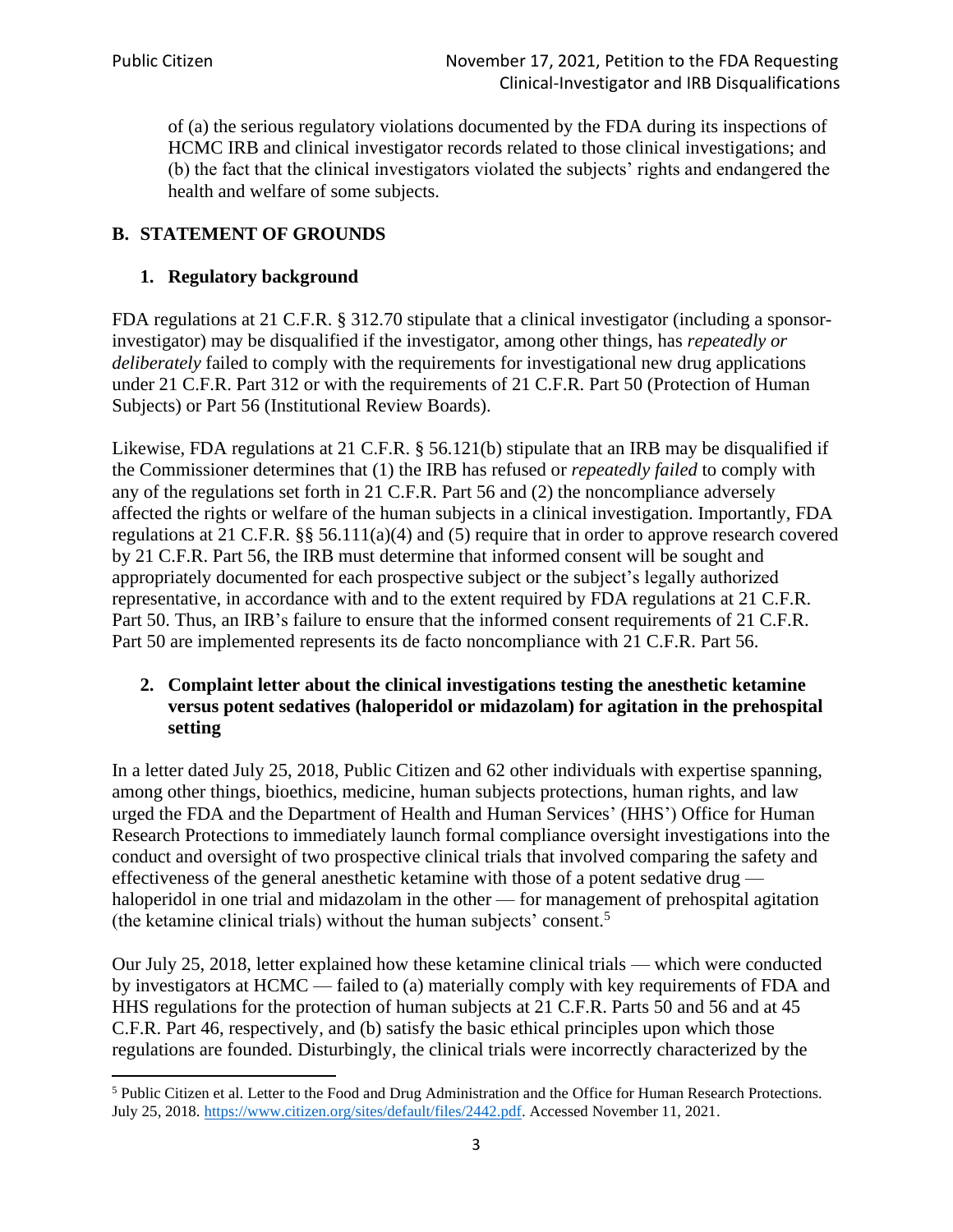of (a) the serious regulatory violations documented by the FDA during its inspections of HCMC IRB and clinical investigator records related to those clinical investigations; and (b) the fact that the clinical investigators violated the subjects' rights and endangered the health and welfare of some subjects.

# **B. STATEMENT OF GROUNDS**

## **1. Regulatory background**

FDA regulations at 21 C.F.R. § 312.70 stipulate that a clinical investigator (including a sponsorinvestigator) may be disqualified if the investigator, among other things, has *repeatedly or deliberately* failed to comply with the requirements for investigational new drug applications under 21 C.F.R. Part 312 or with the requirements of 21 C.F.R. Part 50 (Protection of Human Subjects) or Part 56 (Institutional Review Boards).

Likewise, FDA regulations at 21 C.F.R. § 56.121(b) stipulate that an IRB may be disqualified if the Commissioner determines that (1) the IRB has refused or *repeatedly failed* to comply with any of the regulations set forth in 21 C.F.R. Part 56 and (2) the noncompliance adversely affected the rights or welfare of the human subjects in a clinical investigation. Importantly, FDA regulations at 21 C.F.R. §§ 56.111(a)(4) and (5) require that in order to approve research covered by 21 C.F.R. Part 56, the IRB must determine that informed consent will be sought and appropriately documented for each prospective subject or the subject's legally authorized representative, in accordance with and to the extent required by FDA regulations at 21 C.F.R. Part 50. Thus, an IRB's failure to ensure that the informed consent requirements of 21 C.F.R. Part 50 are implemented represents its de facto noncompliance with 21 C.F.R. Part 56.

## **2. Complaint letter about the clinical investigations testing the anesthetic ketamine versus potent sedatives (haloperidol or midazolam) for agitation in the prehospital setting**

In a letter dated July 25, 2018, Public Citizen and 62 other individuals with expertise spanning, among other things, bioethics, medicine, human subjects protections, human rights, and law urged the FDA and the Department of Health and Human Services' (HHS') Office for Human Research Protections to immediately launch formal compliance oversight investigations into the conduct and oversight of two prospective clinical trials that involved comparing the safety and effectiveness of the general anesthetic ketamine with those of a potent sedative drug haloperidol in one trial and midazolam in the other — for management of prehospital agitation (the ketamine clinical trials) without the human subjects' consent.<sup>5</sup>

Our July 25, 2018, letter explained how these ketamine clinical trials — which were conducted by investigators at HCMC — failed to (a) materially comply with key requirements of FDA and HHS regulations for the protection of human subjects at 21 C.F.R. Parts 50 and 56 and at 45 C.F.R. Part 46, respectively, and (b) satisfy the basic ethical principles upon which those regulations are founded. Disturbingly, the clinical trials were incorrectly characterized by the

<sup>&</sup>lt;sup>5</sup> Public Citizen et al. Letter to the Food and Drug Administration and the Office for Human Research Protections. July 25, 2018. [https://www.citizen.org/sites/default/files/2442.pdf.](https://www.citizen.org/sites/default/files/2442.pdf) Accessed November 11, 2021.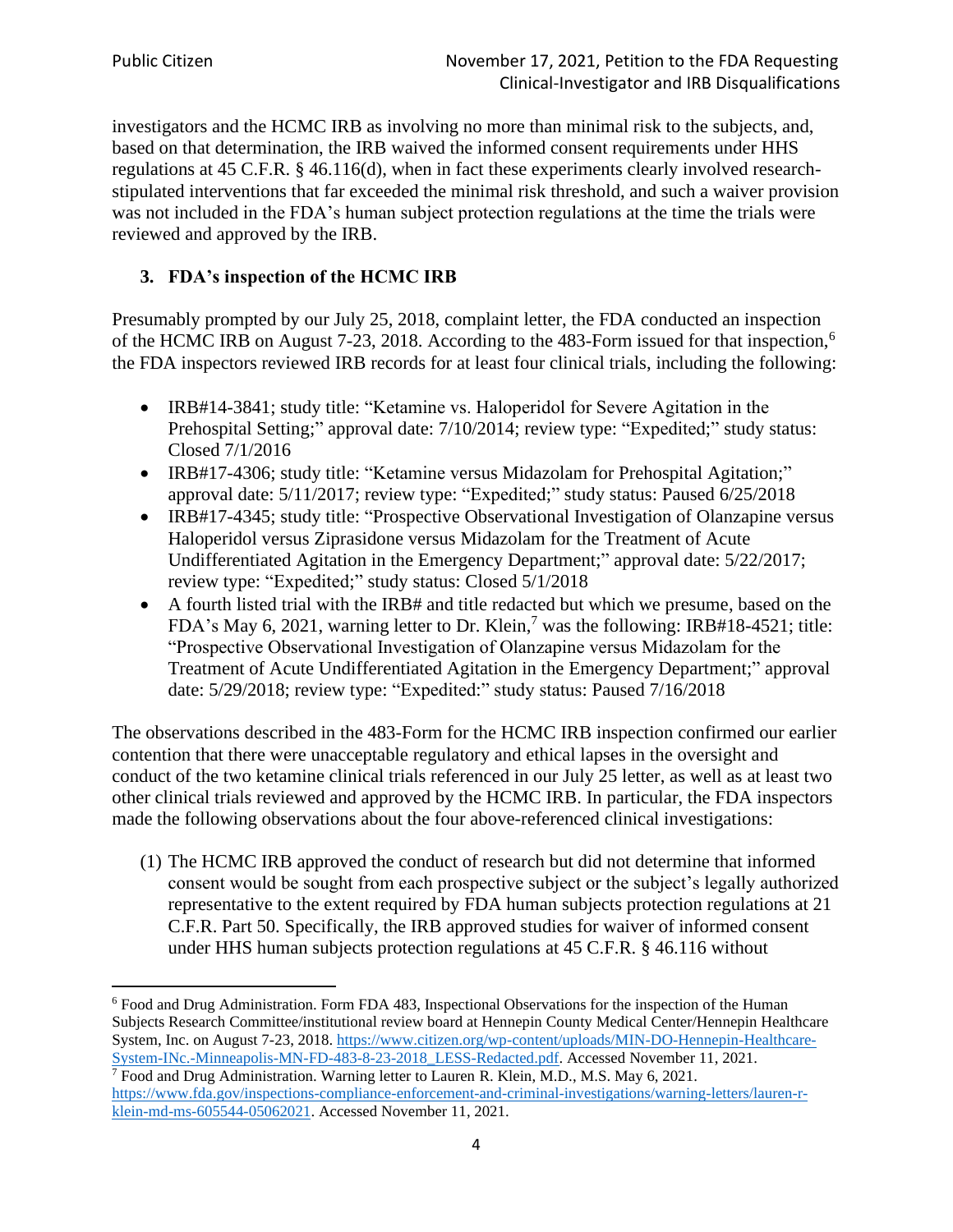investigators and the HCMC IRB as involving no more than minimal risk to the subjects, and, based on that determination, the IRB waived the informed consent requirements under HHS regulations at 45 C.F.R. § 46.116(d), when in fact these experiments clearly involved researchstipulated interventions that far exceeded the minimal risk threshold, and such a waiver provision was not included in the FDA's human subject protection regulations at the time the trials were reviewed and approved by the IRB.

## **3. FDA's inspection of the HCMC IRB**

Presumably prompted by our July 25, 2018, complaint letter, the FDA conducted an inspection of the HCMC IRB on August 7-23, 2018. According to the 483-Form issued for that inspection,<sup>6</sup> the FDA inspectors reviewed IRB records for at least four clinical trials, including the following:

- IRB#14-3841; study title: "Ketamine vs. Haloperidol for Severe Agitation in the Prehospital Setting;" approval date: 7/10/2014; review type: "Expedited;" study status: Closed 7/1/2016
- IRB#17-4306; study title: "Ketamine versus Midazolam for Prehospital Agitation;" approval date: 5/11/2017; review type: "Expedited;" study status: Paused 6/25/2018
- IRB#17-4345; study title: "Prospective Observational Investigation of Olanzapine versus Haloperidol versus Ziprasidone versus Midazolam for the Treatment of Acute Undifferentiated Agitation in the Emergency Department;" approval date: 5/22/2017; review type: "Expedited;" study status: Closed 5/1/2018
- A fourth listed trial with the IRB# and title redacted but which we presume, based on the FDA's May 6, 2021, warning letter to Dr. Klein,<sup>7</sup> was the following: IRB#18-4521; title: "Prospective Observational Investigation of Olanzapine versus Midazolam for the Treatment of Acute Undifferentiated Agitation in the Emergency Department;" approval date: 5/29/2018; review type: "Expedited:" study status: Paused 7/16/2018

The observations described in the 483-Form for the HCMC IRB inspection confirmed our earlier contention that there were unacceptable regulatory and ethical lapses in the oversight and conduct of the two ketamine clinical trials referenced in our July 25 letter, as well as at least two other clinical trials reviewed and approved by the HCMC IRB. In particular, the FDA inspectors made the following observations about the four above-referenced clinical investigations:

(1) The HCMC IRB approved the conduct of research but did not determine that informed consent would be sought from each prospective subject or the subject's legally authorized representative to the extent required by FDA human subjects protection regulations at 21 C.F.R. Part 50. Specifically, the IRB approved studies for waiver of informed consent under HHS human subjects protection regulations at 45 C.F.R. § 46.116 without

<sup>6</sup> Food and Drug Administration. Form FDA 483, Inspectional Observations for the inspection of the Human Subjects Research Committee/institutional review board at Hennepin County Medical Center/Hennepin Healthcare System, Inc. on August 7-23, 2018[. https://www.citizen.org/wp-content/uploads/MIN-DO-Hennepin-Healthcare-](https://www.citizen.org/wp-content/uploads/MIN-DO-Hennepin-Healthcare-System-INc.-Minneapolis-MN-FD-483-8-23-2018_LESS-Redacted.pdf)[System-INc.-Minneapolis-MN-FD-483-8-23-2018\\_LESS-Redacted.pdf.](https://www.citizen.org/wp-content/uploads/MIN-DO-Hennepin-Healthcare-System-INc.-Minneapolis-MN-FD-483-8-23-2018_LESS-Redacted.pdf) Accessed November 11, 2021.

 $\sqrt{7}$  Food and Drug Administration. Warning letter to Lauren R. Klein, M.D., M.S. May 6, 2021. [https://www.fda.gov/inspections-compliance-enforcement-and-criminal-investigations/warning-letters/lauren-r](https://www.fda.gov/inspections-compliance-enforcement-and-criminal-investigations/warning-letters/lauren-r-klein-md-ms-605544-05062021)[klein-md-ms-605544-05062021.](https://www.fda.gov/inspections-compliance-enforcement-and-criminal-investigations/warning-letters/lauren-r-klein-md-ms-605544-05062021) Accessed November 11, 2021.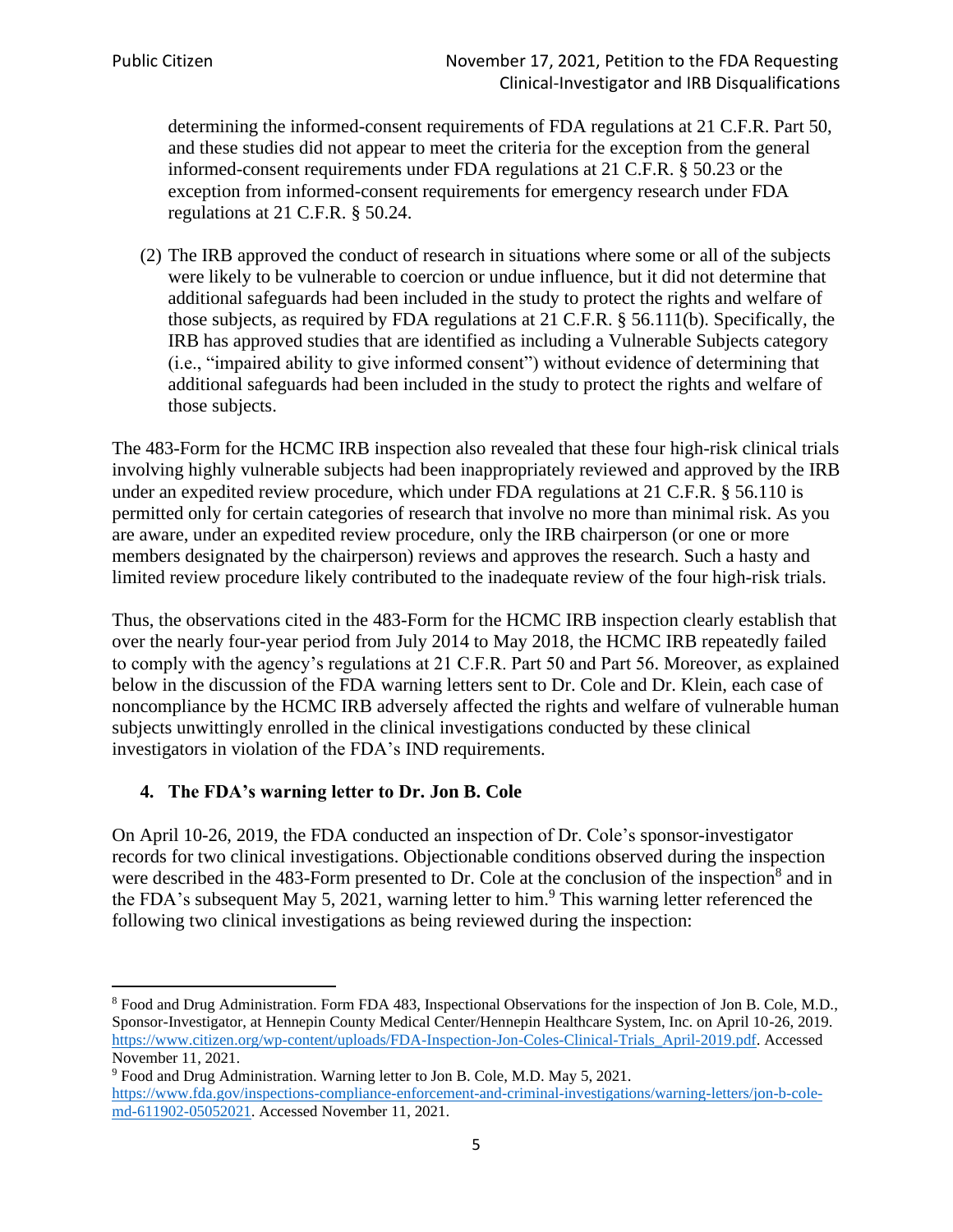determining the informed-consent requirements of FDA regulations at 21 C.F.R. Part 50, and these studies did not appear to meet the criteria for the exception from the general informed-consent requirements under FDA regulations at 21 C.F.R. § 50.23 or the exception from informed-consent requirements for emergency research under FDA regulations at 21 C.F.R. § 50.24.

(2) The IRB approved the conduct of research in situations where some or all of the subjects were likely to be vulnerable to coercion or undue influence, but it did not determine that additional safeguards had been included in the study to protect the rights and welfare of those subjects, as required by FDA regulations at 21 C.F.R. § 56.111(b). Specifically, the IRB has approved studies that are identified as including a Vulnerable Subjects category (i.e., "impaired ability to give informed consent") without evidence of determining that additional safeguards had been included in the study to protect the rights and welfare of those subjects.

The 483-Form for the HCMC IRB inspection also revealed that these four high-risk clinical trials involving highly vulnerable subjects had been inappropriately reviewed and approved by the IRB under an expedited review procedure, which under FDA regulations at 21 C.F.R. § 56.110 is permitted only for certain categories of research that involve no more than minimal risk. As you are aware, under an expedited review procedure, only the IRB chairperson (or one or more members designated by the chairperson) reviews and approves the research. Such a hasty and limited review procedure likely contributed to the inadequate review of the four high-risk trials.

Thus, the observations cited in the 483-Form for the HCMC IRB inspection clearly establish that over the nearly four-year period from July 2014 to May 2018, the HCMC IRB repeatedly failed to comply with the agency's regulations at 21 C.F.R. Part 50 and Part 56. Moreover, as explained below in the discussion of the FDA warning letters sent to Dr. Cole and Dr. Klein, each case of noncompliance by the HCMC IRB adversely affected the rights and welfare of vulnerable human subjects unwittingly enrolled in the clinical investigations conducted by these clinical investigators in violation of the FDA's IND requirements.

## **4. The FDA's warning letter to Dr. Jon B. Cole**

On April 10-26, 2019, the FDA conducted an inspection of Dr. Cole's sponsor-investigator records for two clinical investigations. Objectionable conditions observed during the inspection were described in the 483-Form presented to Dr. Cole at the conclusion of the inspection<sup>8</sup> and in the FDA's subsequent May 5, 2021, warning letter to him.<sup>9</sup> This warning letter referenced the following two clinical investigations as being reviewed during the inspection:

<sup>8</sup> Food and Drug Administration. Form FDA 483, Inspectional Observations for the inspection of Jon B. Cole, M.D., Sponsor-Investigator, at Hennepin County Medical Center/Hennepin Healthcare System, Inc. on April 10-26, 2019. [https://www.citizen.org/wp-content/uploads/FDA-Inspection-Jon-Coles-Clinical-Trials\\_April-2019.pdf.](https://www.citizen.org/wp-content/uploads/FDA-Inspection-Jon-Coles-Clinical-Trials_April-2019.pdf) Accessed November 11, 2021.

<sup>9</sup> Food and Drug Administration. Warning letter to Jon B. Cole, M.D. May 5, 2021. [https://www.fda.gov/inspections-compliance-enforcement-and-criminal-investigations/warning-letters/jon-b-cole](https://www.fda.gov/inspections-compliance-enforcement-and-criminal-investigations/warning-letters/jon-b-cole-md-611902-05052021)[md-611902-05052021.](https://www.fda.gov/inspections-compliance-enforcement-and-criminal-investigations/warning-letters/jon-b-cole-md-611902-05052021) Accessed November 11, 2021.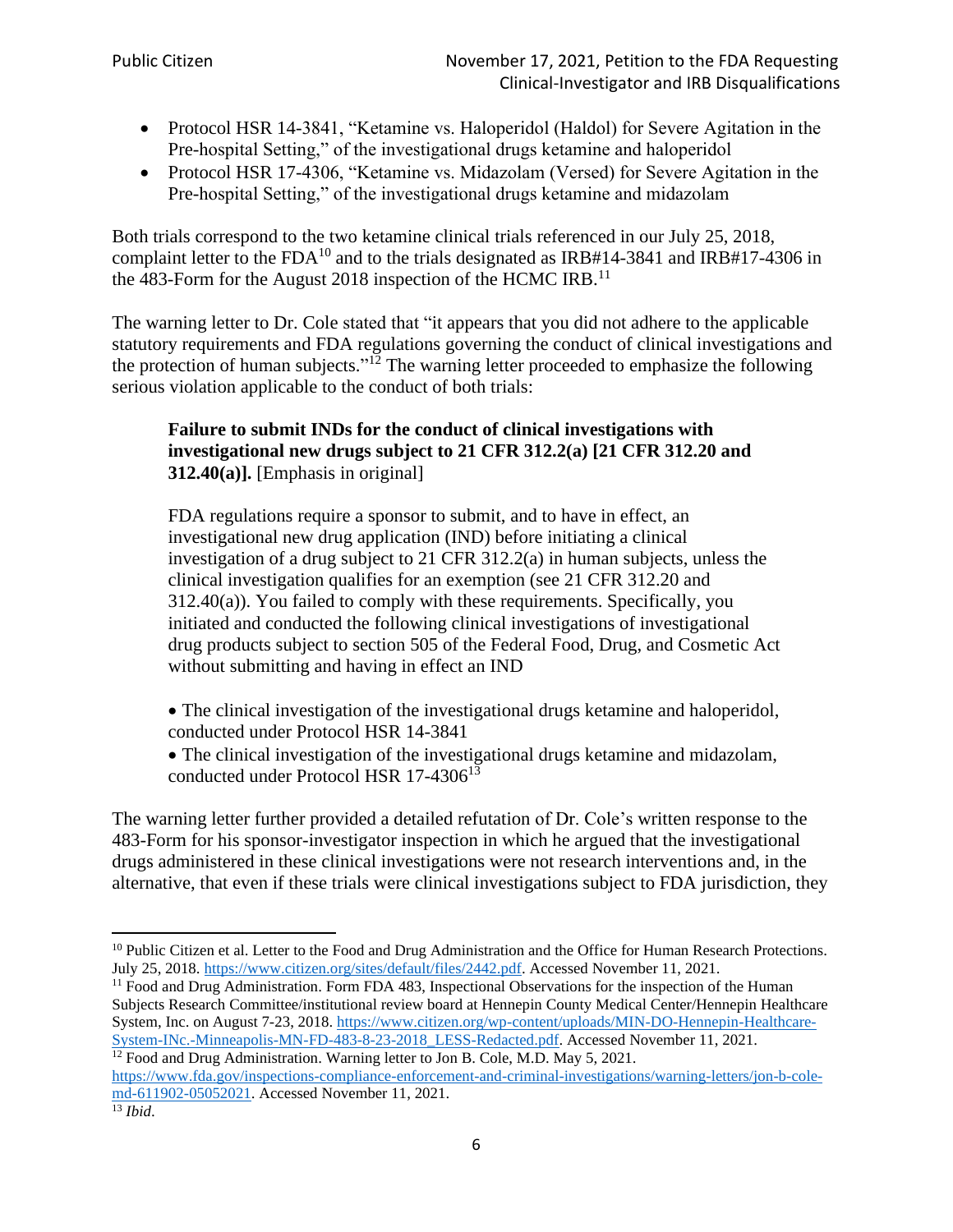- Protocol HSR 14-3841, "Ketamine vs. Haloperidol (Haldol) for Severe Agitation in the Pre-hospital Setting," of the investigational drugs ketamine and haloperidol
- Protocol HSR 17-4306, "Ketamine vs. Midazolam (Versed) for Severe Agitation in the Pre-hospital Setting," of the investigational drugs ketamine and midazolam

Both trials correspond to the two ketamine clinical trials referenced in our July 25, 2018, complaint letter to the  $FDA^{10}$  and to the trials designated as  $IRB#14-3841$  and  $IRB#17-4306$  in the 483-Form for the August 2018 inspection of the HCMC IRB.<sup>11</sup>

The warning letter to Dr. Cole stated that "it appears that you did not adhere to the applicable statutory requirements and FDA regulations governing the conduct of clinical investigations and the protection of human subjects."<sup>12</sup> The warning letter proceeded to emphasize the following serious violation applicable to the conduct of both trials:

## **Failure to submit INDs for the conduct of clinical investigations with investigational new drugs subject to 21 CFR 312.2(a) [21 CFR 312.20 and 312.40(a)].** [Emphasis in original]

FDA regulations require a sponsor to submit, and to have in effect, an investigational new drug application (IND) before initiating a clinical investigation of a drug subject to 21 CFR 312.2(a) in human subjects, unless the clinical investigation qualifies for an exemption (see 21 CFR 312.20 and 312.40(a)). You failed to comply with these requirements. Specifically, you initiated and conducted the following clinical investigations of investigational drug products subject to section 505 of the Federal Food, Drug, and Cosmetic Act without submitting and having in effect an IND

- The clinical investigation of the investigational drugs ketamine and haloperidol, conducted under Protocol HSR 14-3841
- The clinical investigation of the investigational drugs ketamine and midazolam, conducted under Protocol HSR 17-4306<sup>13</sup>

The warning letter further provided a detailed refutation of Dr. Cole's written response to the 483-Form for his sponsor-investigator inspection in which he argued that the investigational drugs administered in these clinical investigations were not research interventions and, in the alternative, that even if these trials were clinical investigations subject to FDA jurisdiction, they

[https://www.fda.gov/inspections-compliance-enforcement-and-criminal-investigations/warning-letters/jon-b-cole](https://www.fda.gov/inspections-compliance-enforcement-and-criminal-investigations/warning-letters/jon-b-cole-md-611902-05052021)[md-611902-05052021.](https://www.fda.gov/inspections-compliance-enforcement-and-criminal-investigations/warning-letters/jon-b-cole-md-611902-05052021) Accessed November 11, 2021.

<sup>&</sup>lt;sup>10</sup> Public Citizen et al. Letter to the Food and Drug Administration and the Office for Human Research Protections. July 25, 2018. [https://www.citizen.org/sites/default/files/2442.pdf.](https://www.citizen.org/sites/default/files/2442.pdf) Accessed November 11, 2021.

<sup>&</sup>lt;sup>11</sup> Food and Drug Administration. Form FDA 483, Inspectional Observations for the inspection of the Human Subjects Research Committee/institutional review board at Hennepin County Medical Center/Hennepin Healthcare System, Inc. on August 7-23, 2018[. https://www.citizen.org/wp-content/uploads/MIN-DO-Hennepin-Healthcare-](https://www.citizen.org/wp-content/uploads/MIN-DO-Hennepin-Healthcare-System-INc.-Minneapolis-MN-FD-483-8-23-2018_LESS-Redacted.pdf)[System-INc.-Minneapolis-MN-FD-483-8-23-2018\\_LESS-Redacted.pdf.](https://www.citizen.org/wp-content/uploads/MIN-DO-Hennepin-Healthcare-System-INc.-Minneapolis-MN-FD-483-8-23-2018_LESS-Redacted.pdf) Accessed November 11, 2021.  $12$  Food and Drug Administration. Warning letter to Jon B. Cole, M.D. May 5, 2021.

<sup>13</sup> *Ibid*.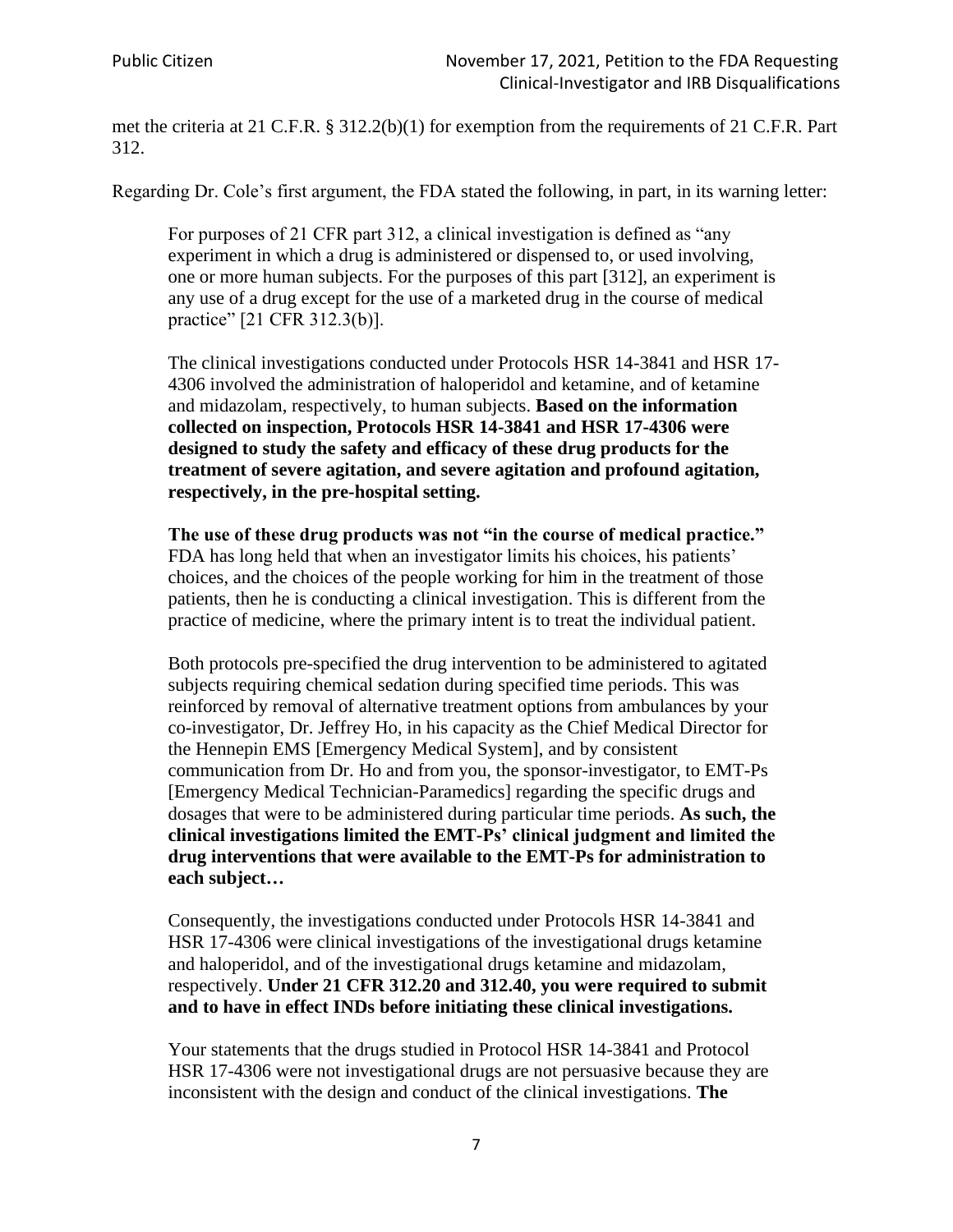met the criteria at 21 C.F.R. § 312.2(b)(1) for exemption from the requirements of 21 C.F.R. Part 312.

Regarding Dr. Cole's first argument, the FDA stated the following, in part, in its warning letter:

For purposes of 21 CFR part 312, a clinical investigation is defined as "any experiment in which a drug is administered or dispensed to, or used involving, one or more human subjects. For the purposes of this part [312], an experiment is any use of a drug except for the use of a marketed drug in the course of medical practice" [21 CFR 312.3(b)].

The clinical investigations conducted under Protocols HSR 14-3841 and HSR 17- 4306 involved the administration of haloperidol and ketamine, and of ketamine and midazolam, respectively, to human subjects. **Based on the information collected on inspection, Protocols HSR 14-3841 and HSR 17-4306 were designed to study the safety and efficacy of these drug products for the treatment of severe agitation, and severe agitation and profound agitation, respectively, in the pre-hospital setting.**

**The use of these drug products was not "in the course of medical practice."**  FDA has long held that when an investigator limits his choices, his patients' choices, and the choices of the people working for him in the treatment of those patients, then he is conducting a clinical investigation. This is different from the practice of medicine, where the primary intent is to treat the individual patient.

Both protocols pre-specified the drug intervention to be administered to agitated subjects requiring chemical sedation during specified time periods. This was reinforced by removal of alternative treatment options from ambulances by your co-investigator, Dr. Jeffrey Ho, in his capacity as the Chief Medical Director for the Hennepin EMS [Emergency Medical System], and by consistent communication from Dr. Ho and from you, the sponsor-investigator, to EMT-Ps [Emergency Medical Technician-Paramedics] regarding the specific drugs and dosages that were to be administered during particular time periods. **As such, the clinical investigations limited the EMT-Ps' clinical judgment and limited the drug interventions that were available to the EMT-Ps for administration to each subject…**

Consequently, the investigations conducted under Protocols HSR 14-3841 and HSR 17-4306 were clinical investigations of the investigational drugs ketamine and haloperidol, and of the investigational drugs ketamine and midazolam, respectively. **Under 21 CFR 312.20 and 312.40, you were required to submit and to have in effect INDs before initiating these clinical investigations.**

Your statements that the drugs studied in Protocol HSR 14-3841 and Protocol HSR 17-4306 were not investigational drugs are not persuasive because they are inconsistent with the design and conduct of the clinical investigations. **The**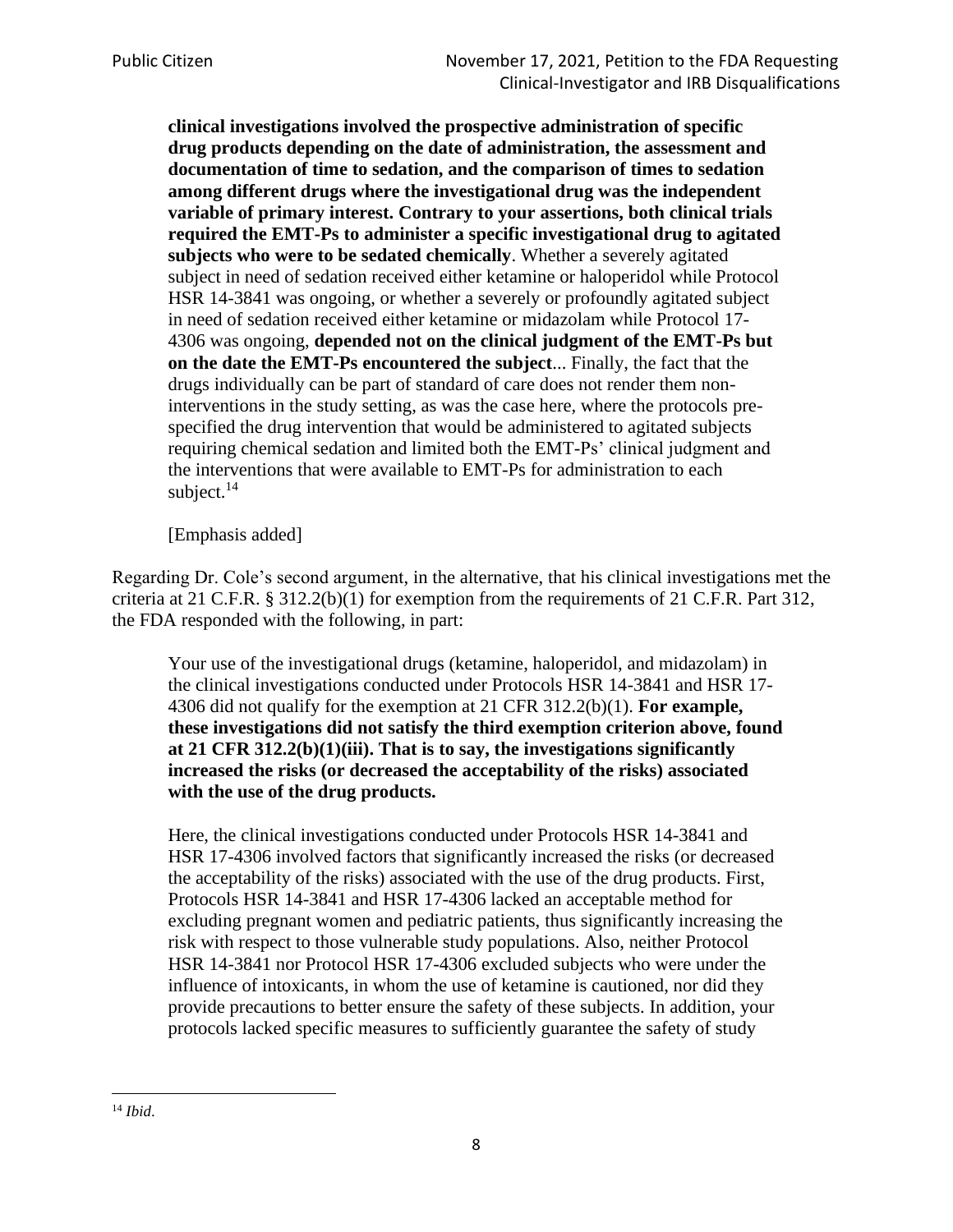**clinical investigations involved the prospective administration of specific drug products depending on the date of administration, the assessment and documentation of time to sedation, and the comparison of times to sedation among different drugs where the investigational drug was the independent variable of primary interest. Contrary to your assertions, both clinical trials required the EMT-Ps to administer a specific investigational drug to agitated subjects who were to be sedated chemically**. Whether a severely agitated subject in need of sedation received either ketamine or haloperidol while Protocol HSR 14-3841 was ongoing, or whether a severely or profoundly agitated subject in need of sedation received either ketamine or midazolam while Protocol 17- 4306 was ongoing, **depended not on the clinical judgment of the EMT-Ps but on the date the EMT-Ps encountered the subject**... Finally, the fact that the drugs individually can be part of standard of care does not render them noninterventions in the study setting, as was the case here, where the protocols prespecified the drug intervention that would be administered to agitated subjects requiring chemical sedation and limited both the EMT-Ps' clinical judgment and the interventions that were available to EMT-Ps for administration to each subject. $14$ 

[Emphasis added]

Regarding Dr. Cole's second argument, in the alternative, that his clinical investigations met the criteria at 21 C.F.R. § 312.2(b)(1) for exemption from the requirements of 21 C.F.R. Part 312, the FDA responded with the following, in part:

Your use of the investigational drugs (ketamine, haloperidol, and midazolam) in the clinical investigations conducted under Protocols HSR 14-3841 and HSR 17- 4306 did not qualify for the exemption at 21 CFR 312.2(b)(1). **For example, these investigations did not satisfy the third exemption criterion above, found at 21 CFR 312.2(b)(1)(iii). That is to say, the investigations significantly increased the risks (or decreased the acceptability of the risks) associated with the use of the drug products.**

Here, the clinical investigations conducted under Protocols HSR 14-3841 and HSR 17-4306 involved factors that significantly increased the risks (or decreased the acceptability of the risks) associated with the use of the drug products. First, Protocols HSR 14-3841 and HSR 17-4306 lacked an acceptable method for excluding pregnant women and pediatric patients, thus significantly increasing the risk with respect to those vulnerable study populations. Also, neither Protocol HSR 14-3841 nor Protocol HSR 17-4306 excluded subjects who were under the influence of intoxicants, in whom the use of ketamine is cautioned, nor did they provide precautions to better ensure the safety of these subjects. In addition, your protocols lacked specific measures to sufficiently guarantee the safety of study

<sup>14</sup> *Ibid*.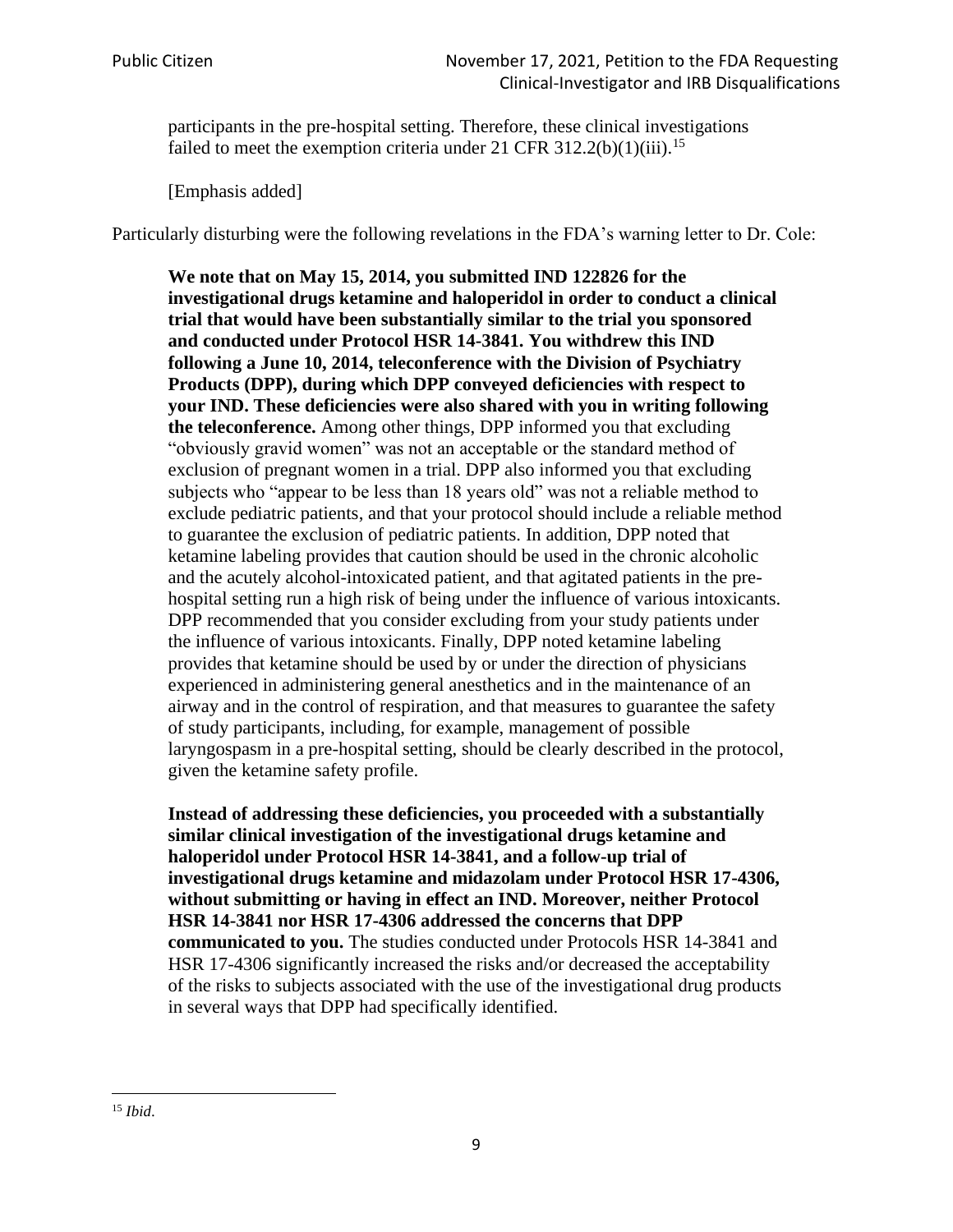participants in the pre-hospital setting. Therefore, these clinical investigations failed to meet the exemption criteria under 21 CFR 312.2(b)(1)(iii).<sup>15</sup>

[Emphasis added]

Particularly disturbing were the following revelations in the FDA's warning letter to Dr. Cole:

**We note that on May 15, 2014, you submitted IND 122826 for the investigational drugs ketamine and haloperidol in order to conduct a clinical trial that would have been substantially similar to the trial you sponsored and conducted under Protocol HSR 14-3841. You withdrew this IND following a June 10, 2014, teleconference with the Division of Psychiatry Products (DPP), during which DPP conveyed deficiencies with respect to your IND. These deficiencies were also shared with you in writing following the teleconference.** Among other things, DPP informed you that excluding "obviously gravid women" was not an acceptable or the standard method of exclusion of pregnant women in a trial. DPP also informed you that excluding subjects who "appear to be less than 18 years old" was not a reliable method to exclude pediatric patients, and that your protocol should include a reliable method to guarantee the exclusion of pediatric patients. In addition, DPP noted that ketamine labeling provides that caution should be used in the chronic alcoholic and the acutely alcohol-intoxicated patient, and that agitated patients in the prehospital setting run a high risk of being under the influence of various intoxicants. DPP recommended that you consider excluding from your study patients under the influence of various intoxicants. Finally, DPP noted ketamine labeling provides that ketamine should be used by or under the direction of physicians experienced in administering general anesthetics and in the maintenance of an airway and in the control of respiration, and that measures to guarantee the safety of study participants, including, for example, management of possible laryngospasm in a pre-hospital setting, should be clearly described in the protocol, given the ketamine safety profile.

**Instead of addressing these deficiencies, you proceeded with a substantially similar clinical investigation of the investigational drugs ketamine and haloperidol under Protocol HSR 14-3841, and a follow-up trial of investigational drugs ketamine and midazolam under Protocol HSR 17-4306, without submitting or having in effect an IND. Moreover, neither Protocol HSR 14-3841 nor HSR 17-4306 addressed the concerns that DPP communicated to you.** The studies conducted under Protocols HSR 14-3841 and HSR 17-4306 significantly increased the risks and/or decreased the acceptability of the risks to subjects associated with the use of the investigational drug products in several ways that DPP had specifically identified.

<sup>15</sup> *Ibid*.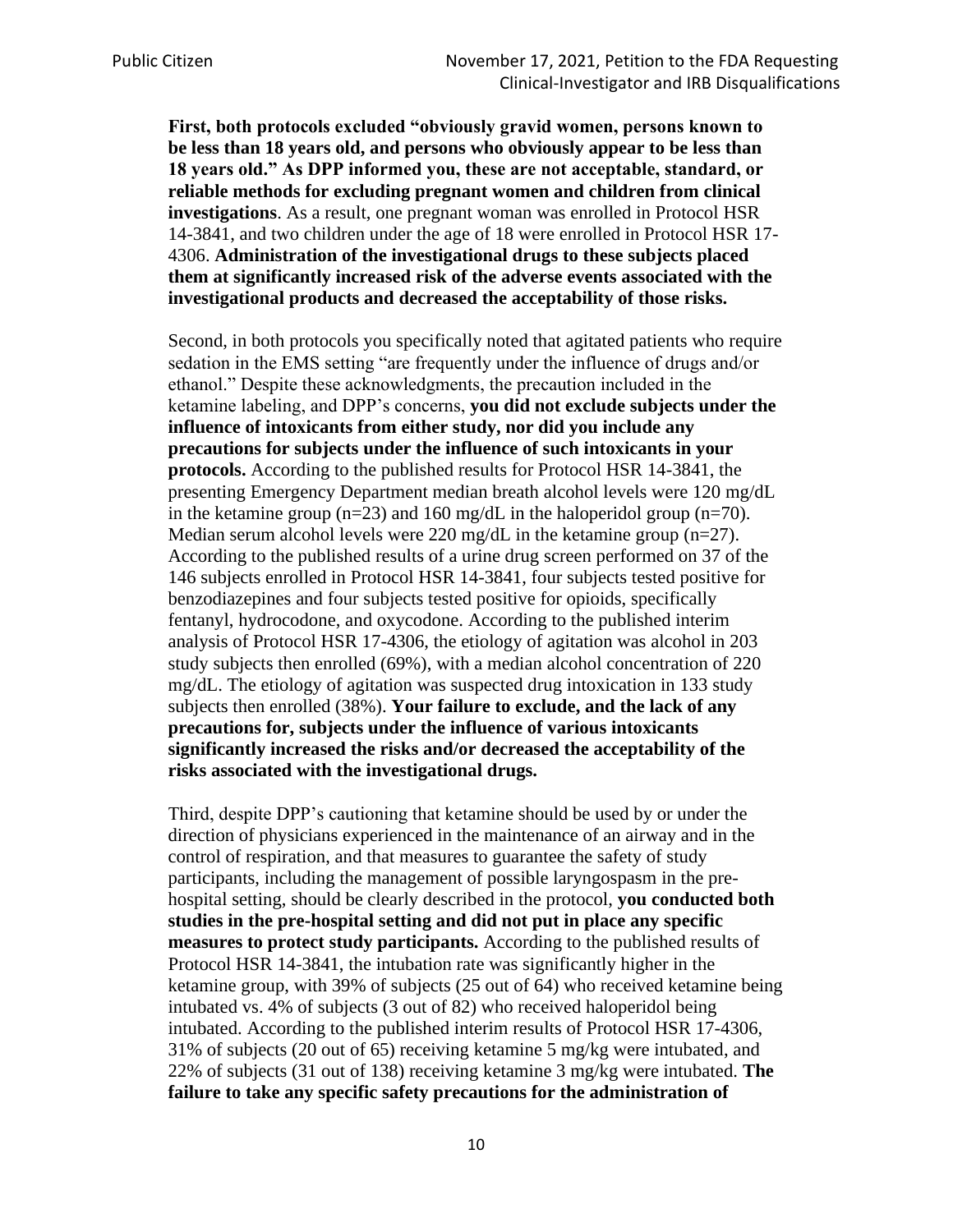**First, both protocols excluded "obviously gravid women, persons known to be less than 18 years old, and persons who obviously appear to be less than 18 years old." As DPP informed you, these are not acceptable, standard, or reliable methods for excluding pregnant women and children from clinical investigations**. As a result, one pregnant woman was enrolled in Protocol HSR 14-3841, and two children under the age of 18 were enrolled in Protocol HSR 17- 4306. **Administration of the investigational drugs to these subjects placed them at significantly increased risk of the adverse events associated with the investigational products and decreased the acceptability of those risks.**

Second, in both protocols you specifically noted that agitated patients who require sedation in the EMS setting "are frequently under the influence of drugs and/or ethanol." Despite these acknowledgments, the precaution included in the ketamine labeling, and DPP's concerns, **you did not exclude subjects under the influence of intoxicants from either study, nor did you include any precautions for subjects under the influence of such intoxicants in your protocols.** According to the published results for Protocol HSR 14-3841, the presenting Emergency Department median breath alcohol levels were 120 mg/dL in the ketamine group ( $n=23$ ) and 160 mg/dL in the haloperidol group ( $n=70$ ). Median serum alcohol levels were 220 mg/dL in the ketamine group  $(n=27)$ . According to the published results of a urine drug screen performed on 37 of the 146 subjects enrolled in Protocol HSR 14-3841, four subjects tested positive for benzodiazepines and four subjects tested positive for opioids, specifically fentanyl, hydrocodone, and oxycodone. According to the published interim analysis of Protocol HSR 17-4306, the etiology of agitation was alcohol in 203 study subjects then enrolled (69%), with a median alcohol concentration of 220 mg/dL. The etiology of agitation was suspected drug intoxication in 133 study subjects then enrolled (38%). **Your failure to exclude, and the lack of any precautions for, subjects under the influence of various intoxicants significantly increased the risks and/or decreased the acceptability of the risks associated with the investigational drugs.**

Third, despite DPP's cautioning that ketamine should be used by or under the direction of physicians experienced in the maintenance of an airway and in the control of respiration, and that measures to guarantee the safety of study participants, including the management of possible laryngospasm in the prehospital setting, should be clearly described in the protocol, **you conducted both studies in the pre-hospital setting and did not put in place any specific measures to protect study participants.** According to the published results of Protocol HSR 14-3841, the intubation rate was significantly higher in the ketamine group, with 39% of subjects (25 out of 64) who received ketamine being intubated vs. 4% of subjects (3 out of 82) who received haloperidol being intubated. According to the published interim results of Protocol HSR 17-4306, 31% of subjects (20 out of 65) receiving ketamine 5 mg/kg were intubated, and 22% of subjects (31 out of 138) receiving ketamine 3 mg/kg were intubated. **The failure to take any specific safety precautions for the administration of**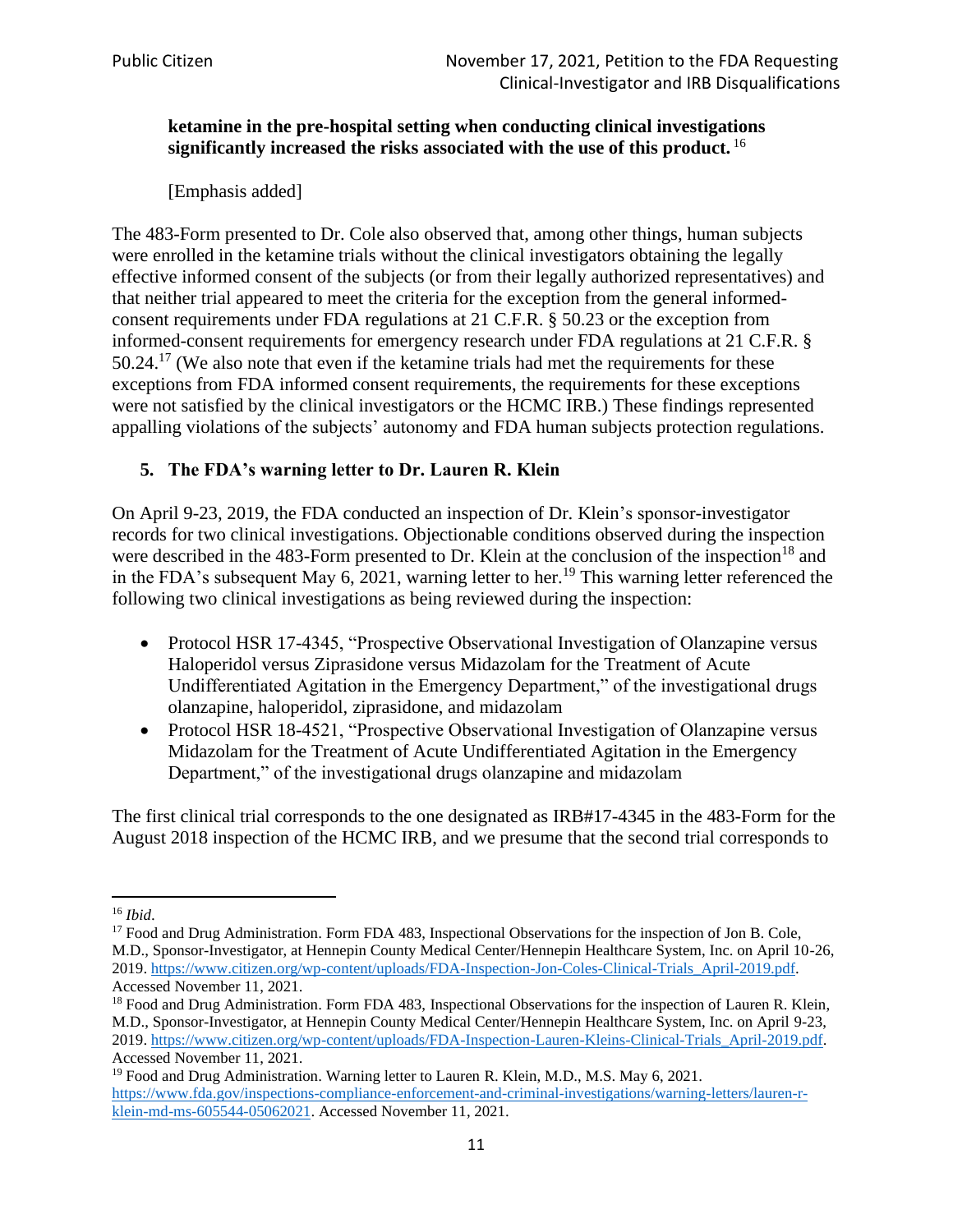## **ketamine in the pre-hospital setting when conducting clinical investigations significantly increased the risks associated with the use of this product.** <sup>16</sup>

[Emphasis added]

The 483-Form presented to Dr. Cole also observed that, among other things, human subjects were enrolled in the ketamine trials without the clinical investigators obtaining the legally effective informed consent of the subjects (or from their legally authorized representatives) and that neither trial appeared to meet the criteria for the exception from the general informedconsent requirements under FDA regulations at 21 C.F.R. § 50.23 or the exception from informed-consent requirements for emergency research under FDA regulations at 21 C.F.R. §  $50.24$ .<sup>17</sup> (We also note that even if the ketamine trials had met the requirements for these exceptions from FDA informed consent requirements, the requirements for these exceptions were not satisfied by the clinical investigators or the HCMC IRB.) These findings represented appalling violations of the subjects' autonomy and FDA human subjects protection regulations.

## **5. The FDA's warning letter to Dr. Lauren R. Klein**

On April 9-23, 2019, the FDA conducted an inspection of Dr. Klein's sponsor-investigator records for two clinical investigations. Objectionable conditions observed during the inspection were described in the 483-Form presented to Dr. Klein at the conclusion of the inspection<sup>18</sup> and in the FDA's subsequent May 6, 2021, warning letter to her.<sup>19</sup> This warning letter referenced the following two clinical investigations as being reviewed during the inspection:

- Protocol HSR 17-4345, "Prospective Observational Investigation of Olanzapine versus Haloperidol versus Ziprasidone versus Midazolam for the Treatment of Acute Undifferentiated Agitation in the Emergency Department," of the investigational drugs olanzapine, haloperidol, ziprasidone, and midazolam
- Protocol HSR 18-4521, "Prospective Observational Investigation of Olanzapine versus Midazolam for the Treatment of Acute Undifferentiated Agitation in the Emergency Department," of the investigational drugs olanzapine and midazolam

The first clinical trial corresponds to the one designated as IRB#17-4345 in the 483-Form for the August 2018 inspection of the HCMC IRB, and we presume that the second trial corresponds to

<sup>16</sup> *Ibid*.

<sup>&</sup>lt;sup>17</sup> Food and Drug Administration. Form FDA 483, Inspectional Observations for the inspection of Jon B. Cole, M.D., Sponsor-Investigator, at Hennepin County Medical Center/Hennepin Healthcare System, Inc. on April 10-26, 2019. [https://www.citizen.org/wp-content/uploads/FDA-Inspection-Jon-Coles-Clinical-Trials\\_April-2019.pdf.](https://www.citizen.org/wp-content/uploads/FDA-Inspection-Jon-Coles-Clinical-Trials_April-2019.pdf) Accessed November 11, 2021.

<sup>&</sup>lt;sup>18</sup> Food and Drug Administration. Form FDA 483, Inspectional Observations for the inspection of Lauren R. Klein, M.D., Sponsor-Investigator, at Hennepin County Medical Center/Hennepin Healthcare System, Inc. on April 9-23, 2019. [https://www.citizen.org/wp-content/uploads/FDA-Inspection-Lauren-Kleins-Clinical-Trials\\_April-2019.pdf.](https://www.citizen.org/wp-content/uploads/FDA-Inspection-Lauren-Kleins-Clinical-Trials_April-2019.pdf) Accessed November 11, 2021.

<sup>&</sup>lt;sup>19</sup> Food and Drug Administration. Warning letter to Lauren R. Klein, M.D., M.S. May 6, 2021. [https://www.fda.gov/inspections-compliance-enforcement-and-criminal-investigations/warning-letters/lauren-r](https://www.fda.gov/inspections-compliance-enforcement-and-criminal-investigations/warning-letters/lauren-r-klein-md-ms-605544-05062021)[klein-md-ms-605544-05062021.](https://www.fda.gov/inspections-compliance-enforcement-and-criminal-investigations/warning-letters/lauren-r-klein-md-ms-605544-05062021) Accessed November 11, 2021.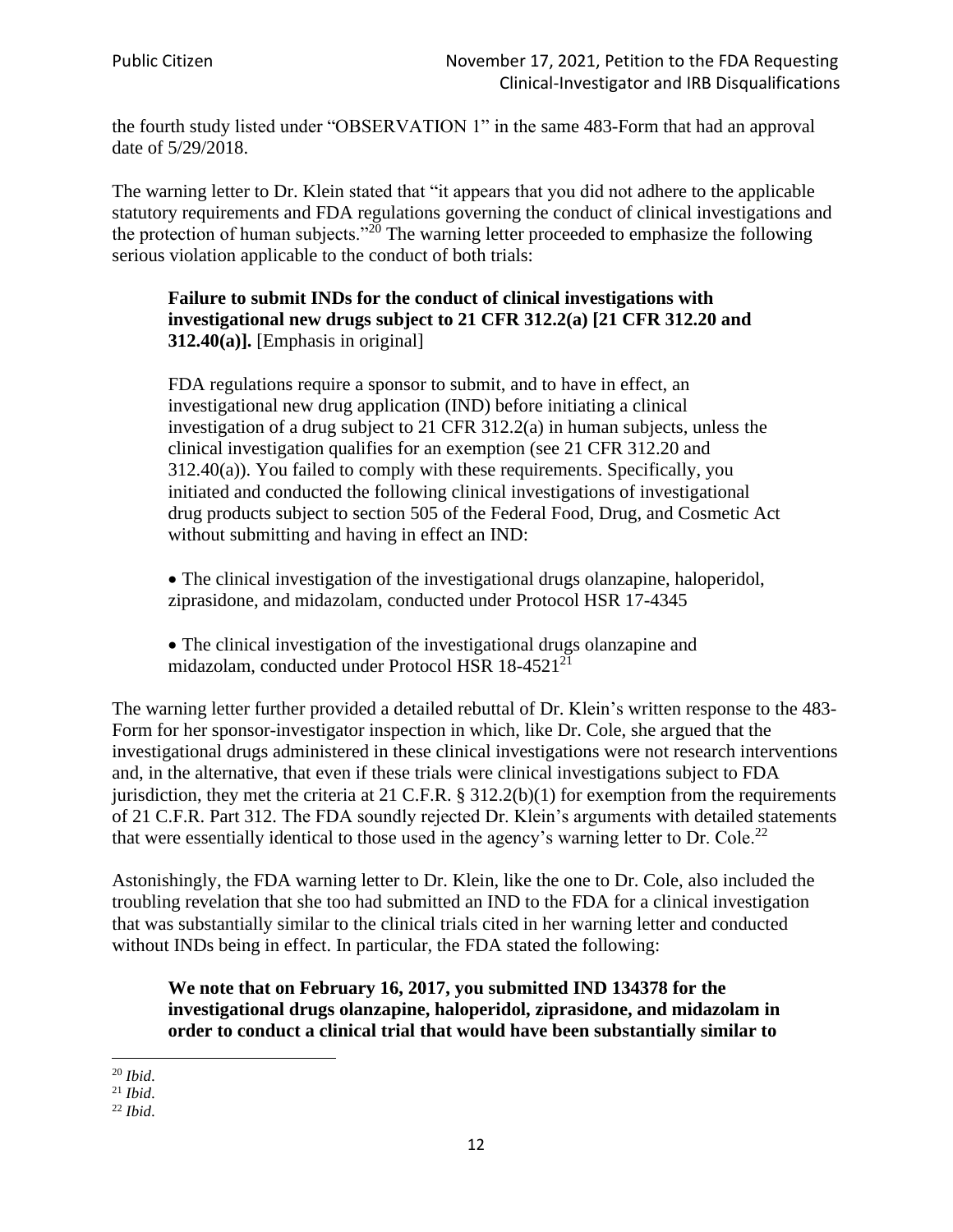the fourth study listed under "OBSERVATION 1" in the same 483-Form that had an approval date of 5/29/2018.

The warning letter to Dr. Klein stated that "it appears that you did not adhere to the applicable statutory requirements and FDA regulations governing the conduct of clinical investigations and the protection of human subjects."<sup>20</sup> The warning letter proceeded to emphasize the following serious violation applicable to the conduct of both trials:

#### **Failure to submit INDs for the conduct of clinical investigations with investigational new drugs subject to 21 CFR 312.2(a) [21 CFR 312.20 and 312.40(a)].** [Emphasis in original]

FDA regulations require a sponsor to submit, and to have in effect, an investigational new drug application (IND) before initiating a clinical investigation of a drug subject to 21 CFR 312.2(a) in human subjects, unless the clinical investigation qualifies for an exemption (see 21 CFR 312.20 and 312.40(a)). You failed to comply with these requirements. Specifically, you initiated and conducted the following clinical investigations of investigational drug products subject to section 505 of the Federal Food, Drug, and Cosmetic Act without submitting and having in effect an IND:

• The clinical investigation of the investigational drugs olanzapine, haloperidol, ziprasidone, and midazolam, conducted under Protocol HSR 17-4345

• The clinical investigation of the investigational drugs olanzapine and midazolam, conducted under Protocol HSR 18-4521<sup>21</sup>

The warning letter further provided a detailed rebuttal of Dr. Klein's written response to the 483- Form for her sponsor-investigator inspection in which, like Dr. Cole, she argued that the investigational drugs administered in these clinical investigations were not research interventions and, in the alternative, that even if these trials were clinical investigations subject to FDA jurisdiction, they met the criteria at 21 C.F.R. § 312.2(b)(1) for exemption from the requirements of 21 C.F.R. Part 312. The FDA soundly rejected Dr. Klein's arguments with detailed statements that were essentially identical to those used in the agency's warning letter to Dr. Cole.<sup>22</sup>

Astonishingly, the FDA warning letter to Dr. Klein, like the one to Dr. Cole, also included the troubling revelation that she too had submitted an IND to the FDA for a clinical investigation that was substantially similar to the clinical trials cited in her warning letter and conducted without INDs being in effect. In particular, the FDA stated the following:

**We note that on February 16, 2017, you submitted IND 134378 for the investigational drugs olanzapine, haloperidol, ziprasidone, and midazolam in order to conduct a clinical trial that would have been substantially similar to** 

<sup>20</sup> *Ibid*.

<sup>21</sup> *Ibid*.

<sup>22</sup> *Ibid*.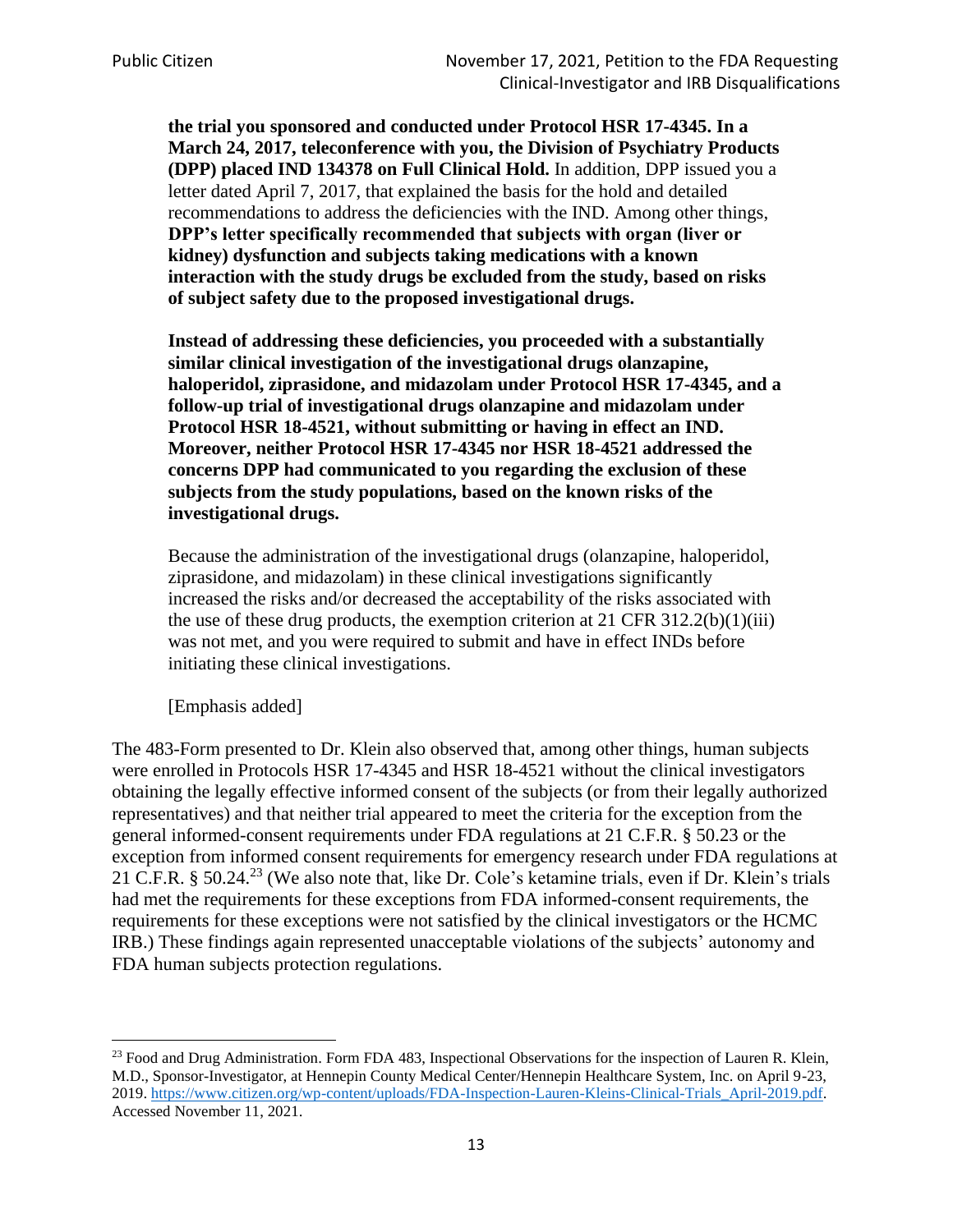**the trial you sponsored and conducted under Protocol HSR 17-4345. In a March 24, 2017, teleconference with you, the Division of Psychiatry Products (DPP) placed IND 134378 on Full Clinical Hold.** In addition, DPP issued you a letter dated April 7, 2017, that explained the basis for the hold and detailed recommendations to address the deficiencies with the IND. Among other things, **DPP's letter specifically recommended that subjects with organ (liver or kidney) dysfunction and subjects taking medications with a known interaction with the study drugs be excluded from the study, based on risks of subject safety due to the proposed investigational drugs.**

**Instead of addressing these deficiencies, you proceeded with a substantially similar clinical investigation of the investigational drugs olanzapine, haloperidol, ziprasidone, and midazolam under Protocol HSR 17-4345, and a follow-up trial of investigational drugs olanzapine and midazolam under Protocol HSR 18-4521, without submitting or having in effect an IND. Moreover, neither Protocol HSR 17-4345 nor HSR 18-4521 addressed the concerns DPP had communicated to you regarding the exclusion of these subjects from the study populations, based on the known risks of the investigational drugs.**

Because the administration of the investigational drugs (olanzapine, haloperidol, ziprasidone, and midazolam) in these clinical investigations significantly increased the risks and/or decreased the acceptability of the risks associated with the use of these drug products, the exemption criterion at 21 CFR 312.2(b)(1)(iii) was not met, and you were required to submit and have in effect INDs before initiating these clinical investigations.

[Emphasis added]

The 483-Form presented to Dr. Klein also observed that, among other things, human subjects were enrolled in Protocols HSR 17-4345 and HSR 18-4521 without the clinical investigators obtaining the legally effective informed consent of the subjects (or from their legally authorized representatives) and that neither trial appeared to meet the criteria for the exception from the general informed-consent requirements under FDA regulations at 21 C.F.R. § 50.23 or the exception from informed consent requirements for emergency research under FDA regulations at 21 C.F.R. § 50.24.<sup>23</sup> (We also note that, like Dr. Cole's ketamine trials, even if Dr. Klein's trials had met the requirements for these exceptions from FDA informed-consent requirements, the requirements for these exceptions were not satisfied by the clinical investigators or the HCMC IRB.) These findings again represented unacceptable violations of the subjects' autonomy and FDA human subjects protection regulations.

<sup>&</sup>lt;sup>23</sup> Food and Drug Administration. Form FDA 483, Inspectional Observations for the inspection of Lauren R. Klein, M.D., Sponsor-Investigator, at Hennepin County Medical Center/Hennepin Healthcare System, Inc. on April 9-23, 2019. [https://www.citizen.org/wp-content/uploads/FDA-Inspection-Lauren-Kleins-Clinical-Trials\\_April-2019.pdf.](https://www.citizen.org/wp-content/uploads/FDA-Inspection-Lauren-Kleins-Clinical-Trials_April-2019.pdf) Accessed November 11, 2021.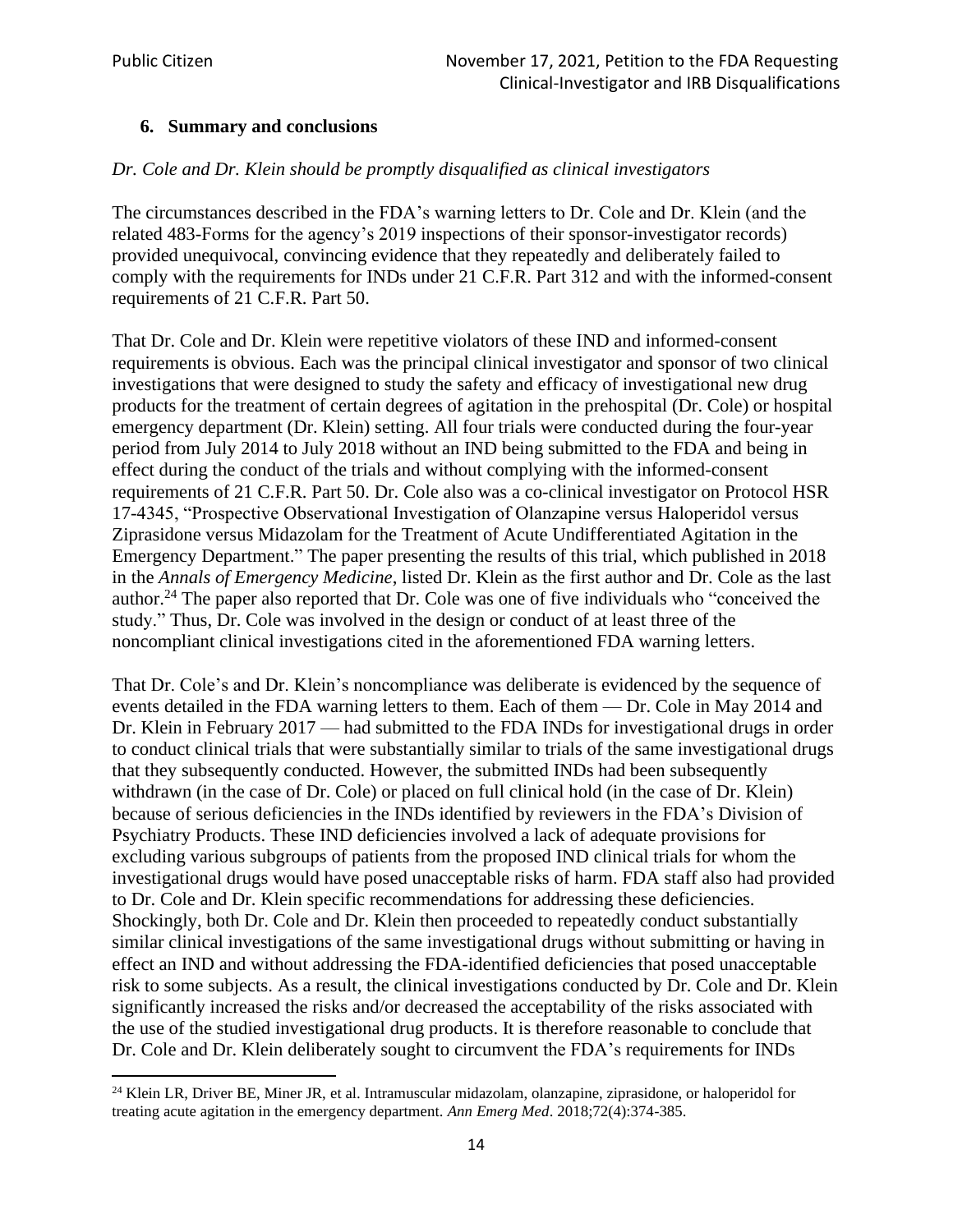#### **6. Summary and conclusions**

#### *Dr. Cole and Dr. Klein should be promptly disqualified as clinical investigators*

The circumstances described in the FDA's warning letters to Dr. Cole and Dr. Klein (and the related 483-Forms for the agency's 2019 inspections of their sponsor-investigator records) provided unequivocal, convincing evidence that they repeatedly and deliberately failed to comply with the requirements for INDs under 21 C.F.R. Part 312 and with the informed-consent requirements of 21 C.F.R. Part 50.

That Dr. Cole and Dr. Klein were repetitive violators of these IND and informed-consent requirements is obvious. Each was the principal clinical investigator and sponsor of two clinical investigations that were designed to study the safety and efficacy of investigational new drug products for the treatment of certain degrees of agitation in the prehospital (Dr. Cole) or hospital emergency department (Dr. Klein) setting. All four trials were conducted during the four-year period from July 2014 to July 2018 without an IND being submitted to the FDA and being in effect during the conduct of the trials and without complying with the informed-consent requirements of 21 C.F.R. Part 50. Dr. Cole also was a co-clinical investigator on Protocol HSR 17-4345, "Prospective Observational Investigation of Olanzapine versus Haloperidol versus Ziprasidone versus Midazolam for the Treatment of Acute Undifferentiated Agitation in the Emergency Department." The paper presenting the results of this trial, which published in 2018 in the *Annals of Emergency Medicine*, listed Dr. Klein as the first author and Dr. Cole as the last author.<sup>24</sup> The paper also reported that Dr. Cole was one of five individuals who "conceived the study." Thus, Dr. Cole was involved in the design or conduct of at least three of the noncompliant clinical investigations cited in the aforementioned FDA warning letters.

That Dr. Cole's and Dr. Klein's noncompliance was deliberate is evidenced by the sequence of events detailed in the FDA warning letters to them. Each of them — Dr. Cole in May 2014 and Dr. Klein in February 2017 — had submitted to the FDA INDs for investigational drugs in order to conduct clinical trials that were substantially similar to trials of the same investigational drugs that they subsequently conducted. However, the submitted INDs had been subsequently withdrawn (in the case of Dr. Cole) or placed on full clinical hold (in the case of Dr. Klein) because of serious deficiencies in the INDs identified by reviewers in the FDA's Division of Psychiatry Products. These IND deficiencies involved a lack of adequate provisions for excluding various subgroups of patients from the proposed IND clinical trials for whom the investigational drugs would have posed unacceptable risks of harm. FDA staff also had provided to Dr. Cole and Dr. Klein specific recommendations for addressing these deficiencies. Shockingly, both Dr. Cole and Dr. Klein then proceeded to repeatedly conduct substantially similar clinical investigations of the same investigational drugs without submitting or having in effect an IND and without addressing the FDA-identified deficiencies that posed unacceptable risk to some subjects. As a result, the clinical investigations conducted by Dr. Cole and Dr. Klein significantly increased the risks and/or decreased the acceptability of the risks associated with the use of the studied investigational drug products. It is therefore reasonable to conclude that Dr. Cole and Dr. Klein deliberately sought to circumvent the FDA's requirements for INDs

<sup>&</sup>lt;sup>24</sup> Klein LR, Driver BE, Miner JR, et al. Intramuscular midazolam, olanzapine, ziprasidone, or haloperidol for treating acute agitation in the emergency department. *Ann Emerg Med*. 2018;72(4):374-385.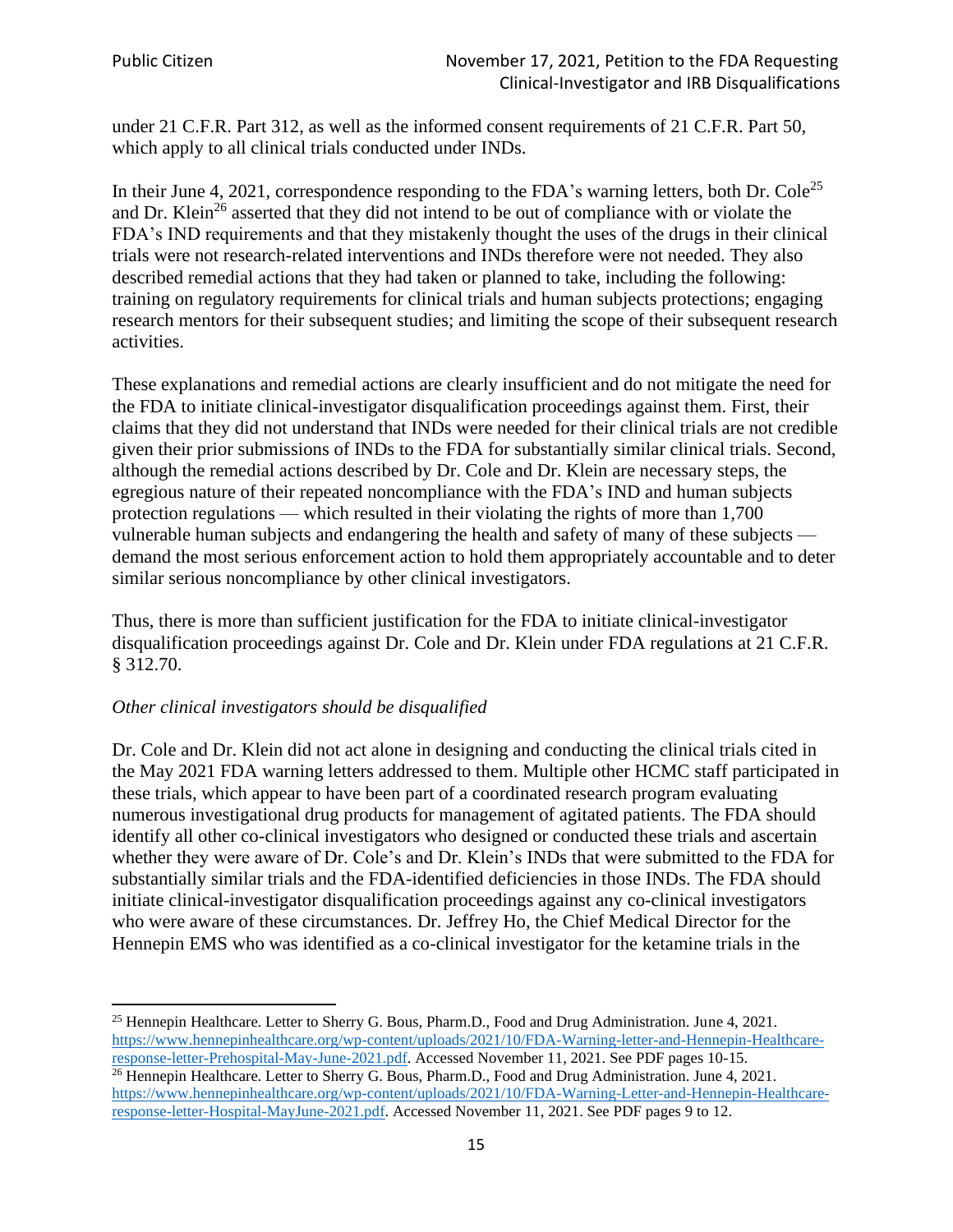under 21 C.F.R. Part 312, as well as the informed consent requirements of 21 C.F.R. Part 50, which apply to all clinical trials conducted under INDs.

In their June 4, 2021, correspondence responding to the FDA's warning letters, both Dr. Cole<sup>25</sup> and Dr. Klein<sup>26</sup> asserted that they did not intend to be out of compliance with or violate the FDA's IND requirements and that they mistakenly thought the uses of the drugs in their clinical trials were not research-related interventions and INDs therefore were not needed. They also described remedial actions that they had taken or planned to take, including the following: training on regulatory requirements for clinical trials and human subjects protections; engaging research mentors for their subsequent studies; and limiting the scope of their subsequent research activities.

These explanations and remedial actions are clearly insufficient and do not mitigate the need for the FDA to initiate clinical-investigator disqualification proceedings against them. First, their claims that they did not understand that INDs were needed for their clinical trials are not credible given their prior submissions of INDs to the FDA for substantially similar clinical trials. Second, although the remedial actions described by Dr. Cole and Dr. Klein are necessary steps, the egregious nature of their repeated noncompliance with the FDA's IND and human subjects protection regulations — which resulted in their violating the rights of more than 1,700 vulnerable human subjects and endangering the health and safety of many of these subjects demand the most serious enforcement action to hold them appropriately accountable and to deter similar serious noncompliance by other clinical investigators.

Thus, there is more than sufficient justification for the FDA to initiate clinical-investigator disqualification proceedings against Dr. Cole and Dr. Klein under FDA regulations at 21 C.F.R. § 312.70.

#### *Other clinical investigators should be disqualified*

Dr. Cole and Dr. Klein did not act alone in designing and conducting the clinical trials cited in the May 2021 FDA warning letters addressed to them. Multiple other HCMC staff participated in these trials, which appear to have been part of a coordinated research program evaluating numerous investigational drug products for management of agitated patients. The FDA should identify all other co-clinical investigators who designed or conducted these trials and ascertain whether they were aware of Dr. Cole's and Dr. Klein's INDs that were submitted to the FDA for substantially similar trials and the FDA-identified deficiencies in those INDs. The FDA should initiate clinical-investigator disqualification proceedings against any co-clinical investigators who were aware of these circumstances. Dr. Jeffrey Ho, the Chief Medical Director for the Hennepin EMS who was identified as a co-clinical investigator for the ketamine trials in the

<sup>&</sup>lt;sup>25</sup> Hennepin Healthcare. Letter to Sherry G. Bous, Pharm.D., Food and Drug Administration. June 4, 2021. [https://www.hennepinhealthcare.org/wp-content/uploads/2021/10/FDA-Warning-letter-and-Hennepin-Healthcare](https://www.hennepinhealthcare.org/wp-content/uploads/2021/10/FDA-Warning-letter-and-Hennepin-Healthcare-response-letter-Prehospital-May-June-2021.pdf)[response-letter-Prehospital-May-June-2021.pdf.](https://www.hennepinhealthcare.org/wp-content/uploads/2021/10/FDA-Warning-letter-and-Hennepin-Healthcare-response-letter-Prehospital-May-June-2021.pdf) Accessed November 11, 2021. See PDF pages 10-15. <sup>26</sup> Hennepin Healthcare. Letter to Sherry G. Bous, Pharm.D., Food and Drug Administration. June 4, 2021.

[https://www.hennepinhealthcare.org/wp-content/uploads/2021/10/FDA-Warning-Letter-and-Hennepin-Healthcare](https://www.hennepinhealthcare.org/wp-content/uploads/2021/10/FDA-Warning-Letter-and-Hennepin-Healthcare-response-letter-Hospital-MayJune-2021.pdf)[response-letter-Hospital-MayJune-2021.pdf.](https://www.hennepinhealthcare.org/wp-content/uploads/2021/10/FDA-Warning-Letter-and-Hennepin-Healthcare-response-letter-Hospital-MayJune-2021.pdf) Accessed November 11, 2021. See PDF pages 9 to 12.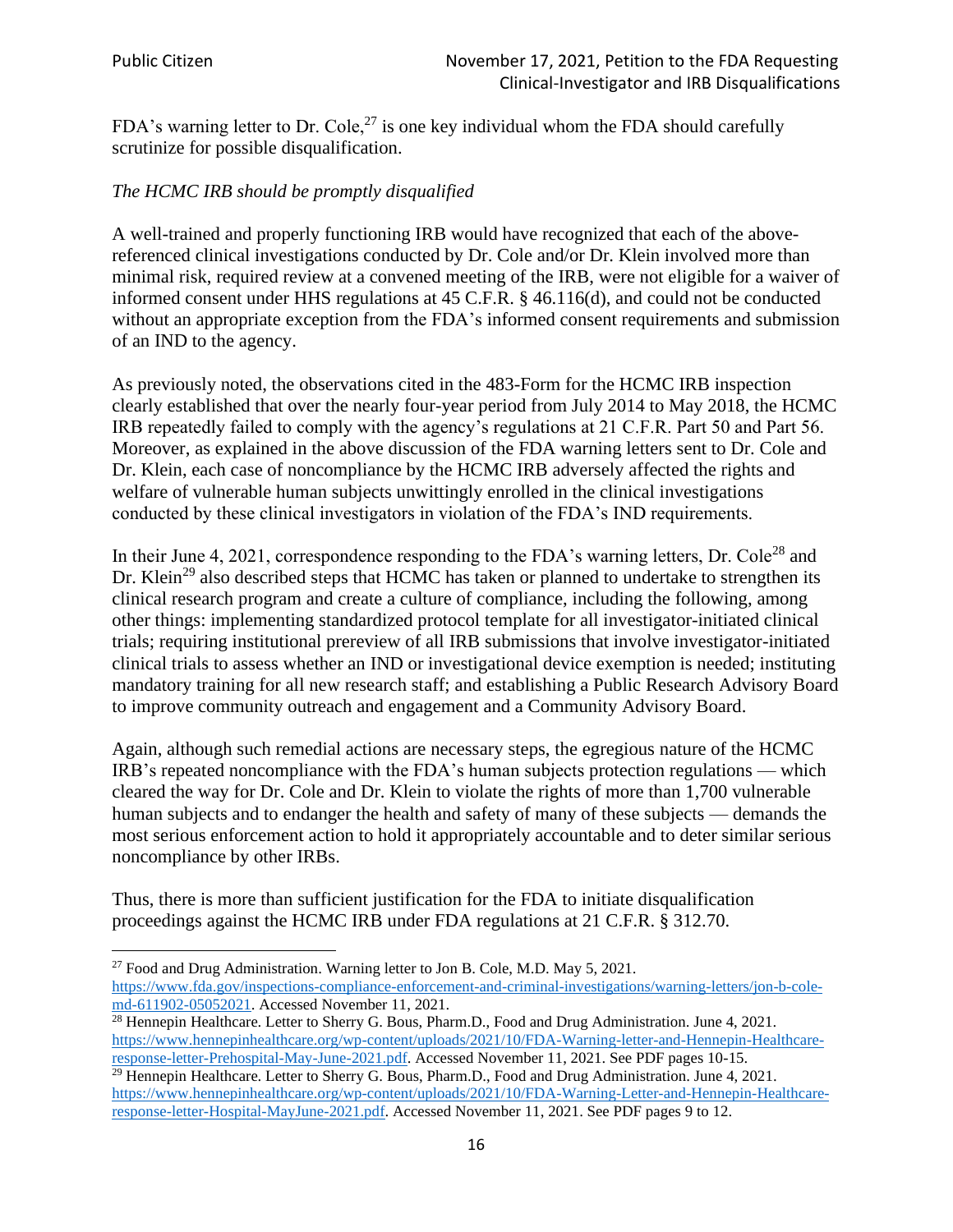FDA's warning letter to Dr. Cole,<sup>27</sup> is one key individual whom the FDA should carefully scrutinize for possible disqualification.

## *The HCMC IRB should be promptly disqualified*

A well-trained and properly functioning IRB would have recognized that each of the abovereferenced clinical investigations conducted by Dr. Cole and/or Dr. Klein involved more than minimal risk, required review at a convened meeting of the IRB, were not eligible for a waiver of informed consent under HHS regulations at 45 C.F.R. § 46.116(d), and could not be conducted without an appropriate exception from the FDA's informed consent requirements and submission of an IND to the agency.

As previously noted, the observations cited in the 483-Form for the HCMC IRB inspection clearly established that over the nearly four-year period from July 2014 to May 2018, the HCMC IRB repeatedly failed to comply with the agency's regulations at 21 C.F.R. Part 50 and Part 56. Moreover, as explained in the above discussion of the FDA warning letters sent to Dr. Cole and Dr. Klein, each case of noncompliance by the HCMC IRB adversely affected the rights and welfare of vulnerable human subjects unwittingly enrolled in the clinical investigations conducted by these clinical investigators in violation of the FDA's IND requirements.

In their June 4, 2021, correspondence responding to the FDA's warning letters, Dr. Cole<sup>28</sup> and Dr. Klein<sup>29</sup> also described steps that HCMC has taken or planned to undertake to strengthen its clinical research program and create a culture of compliance, including the following, among other things: implementing standardized protocol template for all investigator-initiated clinical trials; requiring institutional prereview of all IRB submissions that involve investigator-initiated clinical trials to assess whether an IND or investigational device exemption is needed; instituting mandatory training for all new research staff; and establishing a Public Research Advisory Board to improve community outreach and engagement and a Community Advisory Board.

Again, although such remedial actions are necessary steps, the egregious nature of the HCMC IRB's repeated noncompliance with the FDA's human subjects protection regulations — which cleared the way for Dr. Cole and Dr. Klein to violate the rights of more than 1,700 vulnerable human subjects and to endanger the health and safety of many of these subjects — demands the most serious enforcement action to hold it appropriately accountable and to deter similar serious noncompliance by other IRBs.

Thus, there is more than sufficient justification for the FDA to initiate disqualification proceedings against the HCMC IRB under FDA regulations at 21 C.F.R. § 312.70.

<sup>&</sup>lt;sup>27</sup> Food and Drug Administration. Warning letter to Jon B. Cole, M.D. May 5, 2021. [https://www.fda.gov/inspections-compliance-enforcement-and-criminal-investigations/warning-letters/jon-b-cole](https://www.fda.gov/inspections-compliance-enforcement-and-criminal-investigations/warning-letters/jon-b-cole-md-611902-05052021)[md-611902-05052021.](https://www.fda.gov/inspections-compliance-enforcement-and-criminal-investigations/warning-letters/jon-b-cole-md-611902-05052021) Accessed November 11, 2021.

<sup>&</sup>lt;sup>28</sup> Hennepin Healthcare. Letter to Sherry G. Bous, Pharm.D., Food and Drug Administration. June 4, 2021. [https://www.hennepinhealthcare.org/wp-content/uploads/2021/10/FDA-Warning-letter-and-Hennepin-Healthcare](https://www.hennepinhealthcare.org/wp-content/uploads/2021/10/FDA-Warning-letter-and-Hennepin-Healthcare-response-letter-Prehospital-May-June-2021.pdf)[response-letter-Prehospital-May-June-2021.pdf.](https://www.hennepinhealthcare.org/wp-content/uploads/2021/10/FDA-Warning-letter-and-Hennepin-Healthcare-response-letter-Prehospital-May-June-2021.pdf) Accessed November 11, 2021. See PDF pages 10-15.

<sup>&</sup>lt;sup>29</sup> Hennepin Healthcare. Letter to Sherry G. Bous, Pharm.D., Food and Drug Administration. June 4, 2021. [https://www.hennepinhealthcare.org/wp-content/uploads/2021/10/FDA-Warning-Letter-and-Hennepin-Healthcare](https://www.hennepinhealthcare.org/wp-content/uploads/2021/10/FDA-Warning-Letter-and-Hennepin-Healthcare-response-letter-Hospital-MayJune-2021.pdf)[response-letter-Hospital-MayJune-2021.pdf.](https://www.hennepinhealthcare.org/wp-content/uploads/2021/10/FDA-Warning-Letter-and-Hennepin-Healthcare-response-letter-Hospital-MayJune-2021.pdf) Accessed November 11, 2021. See PDF pages 9 to 12.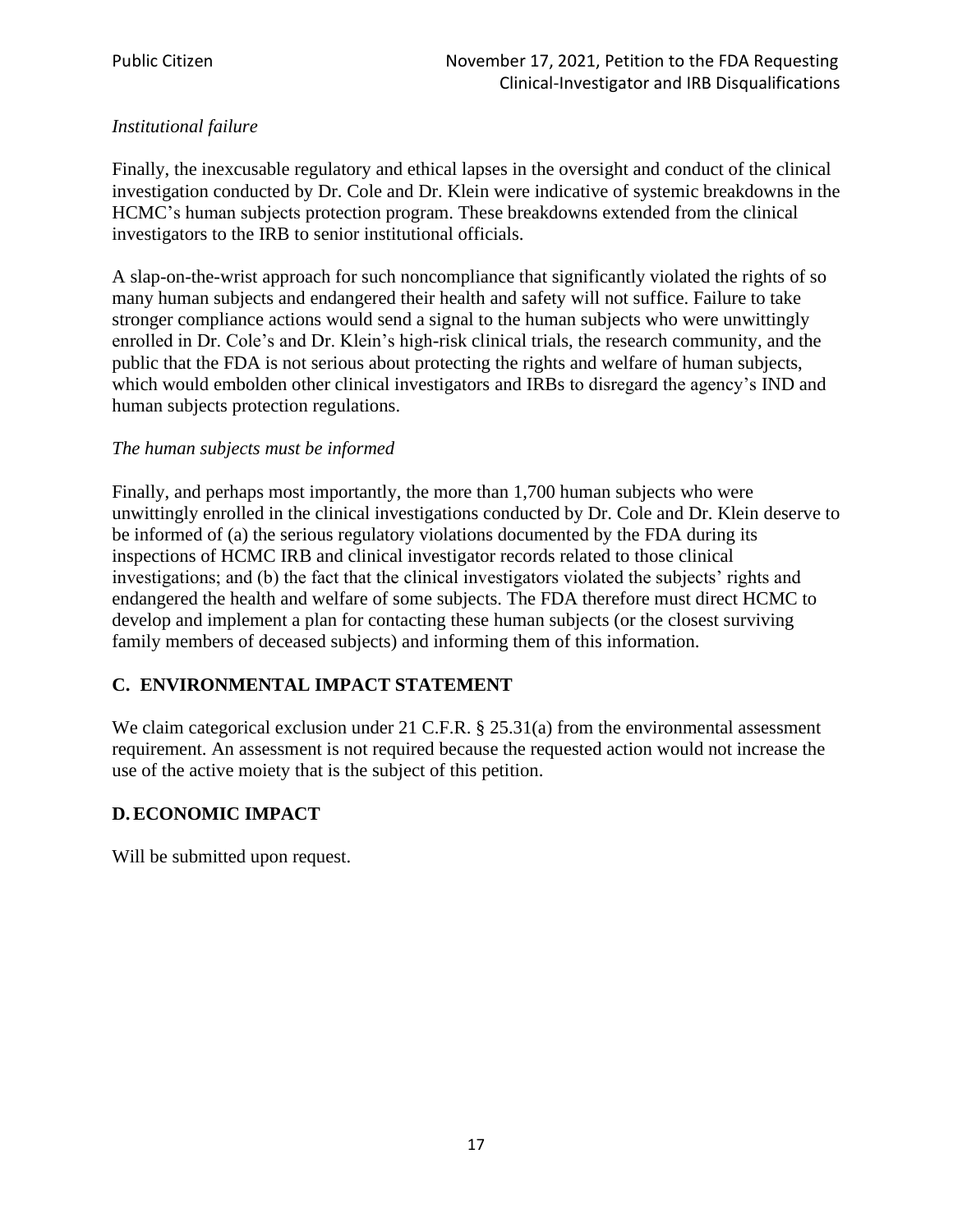## *Institutional failure*

Finally, the inexcusable regulatory and ethical lapses in the oversight and conduct of the clinical investigation conducted by Dr. Cole and Dr. Klein were indicative of systemic breakdowns in the HCMC's human subjects protection program. These breakdowns extended from the clinical investigators to the IRB to senior institutional officials.

A slap-on-the-wrist approach for such noncompliance that significantly violated the rights of so many human subjects and endangered their health and safety will not suffice. Failure to take stronger compliance actions would send a signal to the human subjects who were unwittingly enrolled in Dr. Cole's and Dr. Klein's high-risk clinical trials, the research community, and the public that the FDA is not serious about protecting the rights and welfare of human subjects, which would embolden other clinical investigators and IRBs to disregard the agency's IND and human subjects protection regulations.

#### *The human subjects must be informed*

Finally, and perhaps most importantly, the more than 1,700 human subjects who were unwittingly enrolled in the clinical investigations conducted by Dr. Cole and Dr. Klein deserve to be informed of (a) the serious regulatory violations documented by the FDA during its inspections of HCMC IRB and clinical investigator records related to those clinical investigations; and (b) the fact that the clinical investigators violated the subjects' rights and endangered the health and welfare of some subjects. The FDA therefore must direct HCMC to develop and implement a plan for contacting these human subjects (or the closest surviving family members of deceased subjects) and informing them of this information.

# **C. ENVIRONMENTAL IMPACT STATEMENT**

We claim categorical exclusion under 21 C.F.R. § 25.31(a) from the environmental assessment requirement. An assessment is not required because the requested action would not increase the use of the active moiety that is the subject of this petition.

# **D.ECONOMIC IMPACT**

Will be submitted upon request.